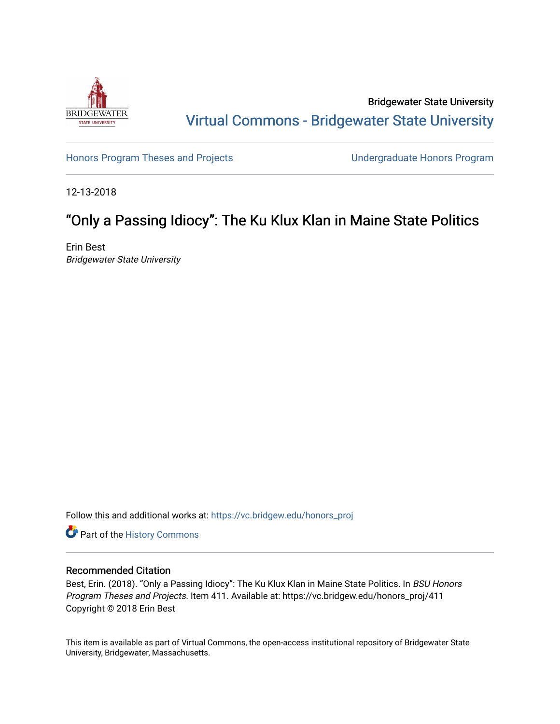

Bridgewater State University [Virtual Commons - Bridgewater State University](https://vc.bridgew.edu/) 

[Honors Program Theses and Projects](https://vc.bridgew.edu/honors_proj) [Undergraduate Honors Program](https://vc.bridgew.edu/honors) 

12-13-2018

# "Only a Passing Idiocy": The Ku Klux Klan in Maine State Politics

Erin Best Bridgewater State University

Follow this and additional works at: [https://vc.bridgew.edu/honors\\_proj](https://vc.bridgew.edu/honors_proj?utm_source=vc.bridgew.edu%2Fhonors_proj%2F411&utm_medium=PDF&utm_campaign=PDFCoverPages)

Part of the [History Commons](http://network.bepress.com/hgg/discipline/489?utm_source=vc.bridgew.edu%2Fhonors_proj%2F411&utm_medium=PDF&utm_campaign=PDFCoverPages) 

#### Recommended Citation

Best, Erin. (2018). "Only a Passing Idiocy": The Ku Klux Klan in Maine State Politics. In BSU Honors Program Theses and Projects. Item 411. Available at: https://vc.bridgew.edu/honors\_proj/411 Copyright © 2018 Erin Best

This item is available as part of Virtual Commons, the open-access institutional repository of Bridgewater State University, Bridgewater, Massachusetts.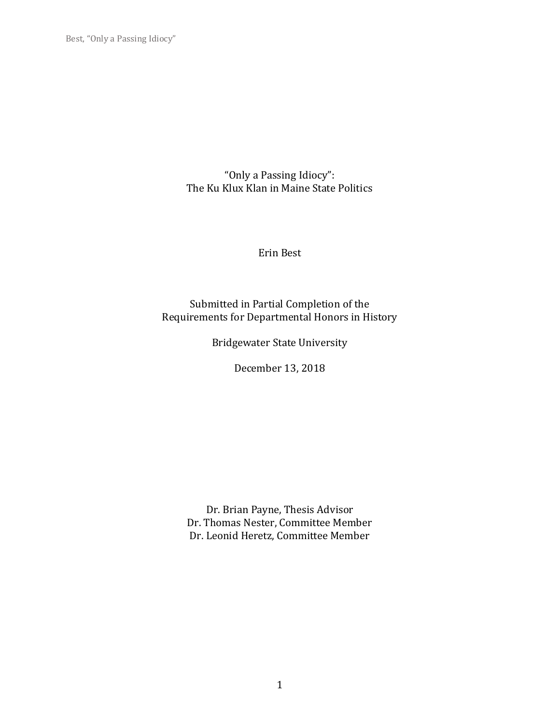"Only a Passing Idiocy": The Ku Klux Klan in Maine State Politics

Erin Best

Submitted in Partial Completion of the Requirements for Departmental Honors in History

Bridgewater State University

December 13, 2018

Dr. Brian Payne, Thesis Advisor Dr. Thomas Nester, Committee Member Dr. Leonid Heretz, Committee Member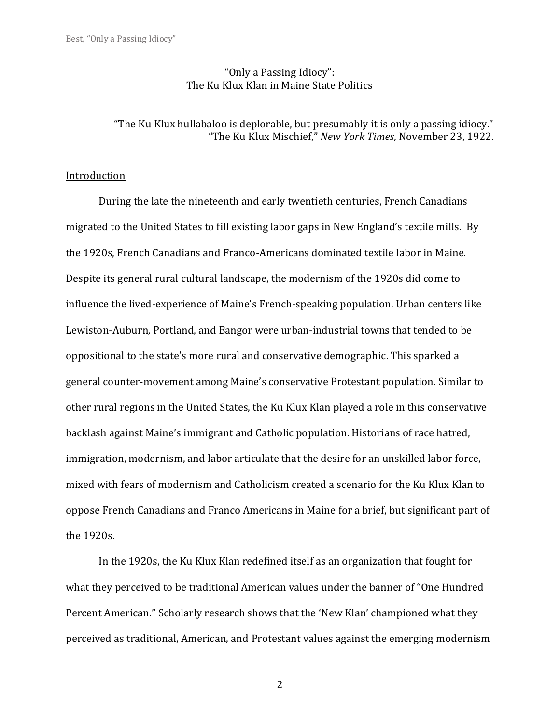# "Only a Passing Idiocy": The Ku Klux Klan in Maine State Politics

# "The Ku Klux hullabaloo is deplorable, but presumably it is only a passing idiocy." "The Ku Klux Mischief," *New York Times*, November 23, 1922.

#### **Introduction**

During the late the nineteenth and early twentieth centuries, French Canadians migrated to the United States to fill existing labor gaps in New England's textile mills. By the 1920s, French Canadians and Franco-Americans dominated textile labor in Maine. Despite its general rural cultural landscape, the modernism of the 1920s did come to influence the lived-experience of Maine's French-speaking population. Urban centers like Lewiston-Auburn, Portland, and Bangor were urban-industrial towns that tended to be oppositional to the state's more rural and conservative demographic. This sparked a general counter-movement among Maine's conservative Protestant population. Similar to other rural regions in the United States, the Ku Klux Klan played a role in this conservative backlash against Maine's immigrant and Catholic population. Historians of race hatred, immigration, modernism, and labor articulate that the desire for an unskilled labor force, mixed with fears of modernism and Catholicism created a scenario for the Ku Klux Klan to oppose French Canadians and Franco Americans in Maine for a brief, but significant part of the 1920s.

In the 1920s, the Ku Klux Klan redefined itself as an organization that fought for what they perceived to be traditional American values under the banner of "One Hundred Percent American." Scholarly research shows that the 'New Klan' championed what they perceived as traditional, American, and Protestant values against the emerging modernism

2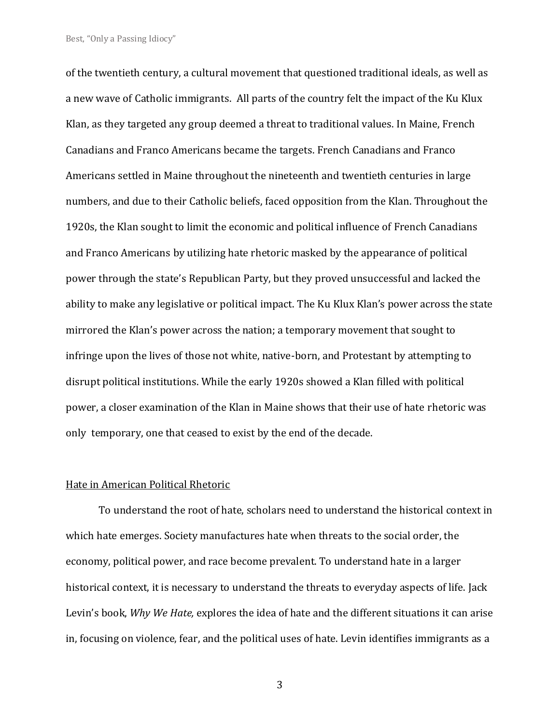of the twentieth century, a cultural movement that questioned traditional ideals, as well as a new wave of Catholic immigrants. All parts of the country felt the impact of the Ku Klux Klan, as they targeted any group deemed a threat to traditional values. In Maine, French Canadians and Franco Americans became the targets. French Canadians and Franco Americans settled in Maine throughout the nineteenth and twentieth centuries in large numbers, and due to their Catholic beliefs, faced opposition from the Klan. Throughout the 1920s, the Klan sought to limit the economic and political influence of French Canadians and Franco Americans by utilizing hate rhetoric masked by the appearance of political power through the state's Republican Party, but they proved unsuccessful and lacked the ability to make any legislative or political impact. The Ku Klux Klan's power across the state mirrored the Klan's power across the nation; a temporary movement that sought to infringe upon the lives of those not white, native-born, and Protestant by attempting to disrupt political institutions. While the early 1920s showed a Klan filled with political power, a closer examination of the Klan in Maine shows that their use of hate rhetoric was only temporary, one that ceased to exist by the end of the decade.

#### Hate in American Political Rhetoric

To understand the root of hate, scholars need to understand the historical context in which hate emerges. Society manufactures hate when threats to the social order, the economy, political power, and race become prevalent. To understand hate in a larger historical context, it is necessary to understand the threats to everyday aspects of life. Jack Levin's book, *Why We Hate,* explores the idea of hate and the different situations it can arise in, focusing on violence, fear, and the political uses of hate. Levin identifies immigrants as a

3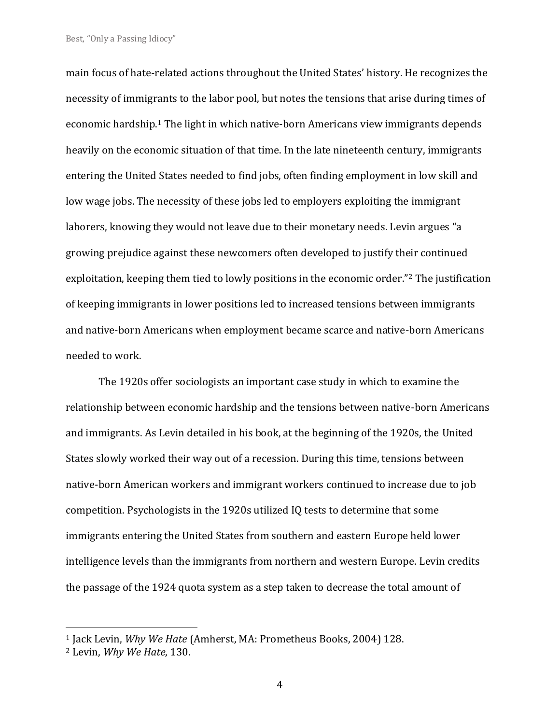main focus of hate-related actions throughout the United States' history. He recognizes the necessity of immigrants to the labor pool, but notes the tensions that arise during times of economic hardship.<sup>1</sup> The light in which native-born Americans view immigrants depends heavily on the economic situation of that time. In the late nineteenth century, immigrants entering the United States needed to find jobs, often finding employment in low skill and low wage jobs. The necessity of these jobs led to employers exploiting the immigrant laborers, knowing they would not leave due to their monetary needs. Levin argues "a growing prejudice against these newcomers often developed to justify their continued exploitation, keeping them tied to lowly positions in the economic order."<sup>2</sup> The justification of keeping immigrants in lower positions led to increased tensions between immigrants and native-born Americans when employment became scarce and native-born Americans needed to work.

The 1920s offer sociologists an important case study in which to examine the relationship between economic hardship and the tensions between native-born Americans and immigrants. As Levin detailed in his book, at the beginning of the 1920s, the United States slowly worked their way out of a recession. During this time, tensions between native-born American workers and immigrant workers continued to increase due to job competition. Psychologists in the 1920s utilized IQ tests to determine that some immigrants entering the United States from southern and eastern Europe held lower intelligence levels than the immigrants from northern and western Europe. Levin credits the passage of the 1924 quota system as a step taken to decrease the total amount of

<sup>1</sup> Jack Levin, *Why We Hate* (Amherst, MA: Prometheus Books, 2004) 128.

<sup>2</sup> Levin, *Why We Hate*, 130.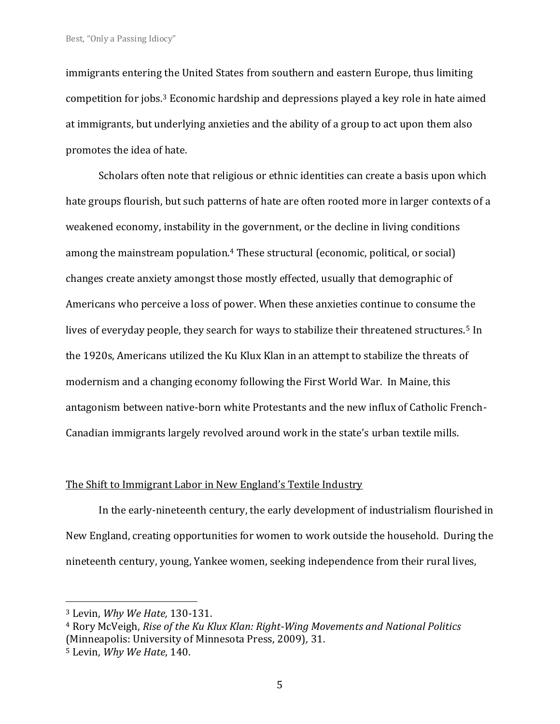immigrants entering the United States from southern and eastern Europe, thus limiting competition for jobs.<sup>3</sup> Economic hardship and depressions played a key role in hate aimed at immigrants, but underlying anxieties and the ability of a group to act upon them also promotes the idea of hate.

Scholars often note that religious or ethnic identities can create a basis upon which hate groups flourish, but such patterns of hate are often rooted more in larger contexts of a weakened economy, instability in the government, or the decline in living conditions among the mainstream population.<sup>4</sup> These structural (economic, political, or social) changes create anxiety amongst those mostly effected, usually that demographic of Americans who perceive a loss of power. When these anxieties continue to consume the lives of everyday people, they search for ways to stabilize their threatened structures.<sup>5</sup> In the 1920s, Americans utilized the Ku Klux Klan in an attempt to stabilize the threats of modernism and a changing economy following the First World War. In Maine, this antagonism between native-born white Protestants and the new influx of Catholic French-Canadian immigrants largely revolved around work in the state's urban textile mills.

## The Shift to Immigrant Labor in New England's Textile Industry

In the early-nineteenth century, the early development of industrialism flourished in New England, creating opportunities for women to work outside the household. During the nineteenth century, young, Yankee women, seeking independence from their rural lives,

<sup>3</sup> Levin, *Why We Hate,* 130-131.

<sup>4</sup> Rory McVeigh, *Rise of the Ku Klux Klan: Right-Wing Movements and National Politics*  (Minneapolis: University of Minnesota Press, 2009)*,* 31.

<sup>5</sup> Levin, *Why We Hate*, 140.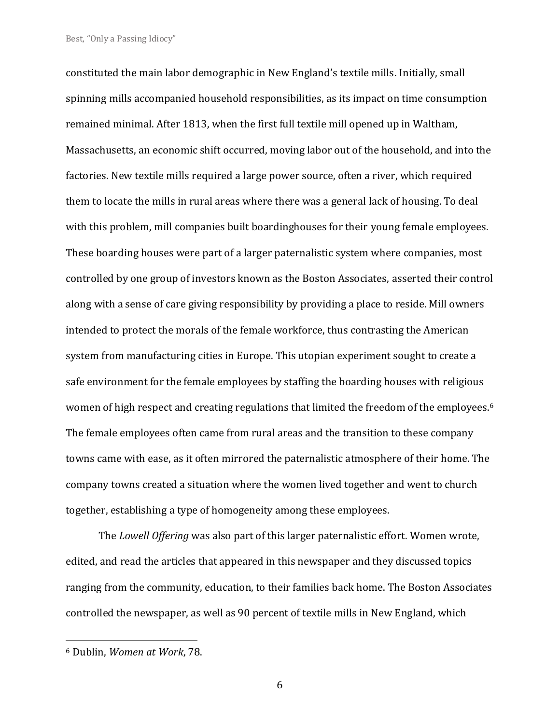constituted the main labor demographic in New England's textile mills. Initially, small spinning mills accompanied household responsibilities, as its impact on time consumption remained minimal. After 1813, when the first full textile mill opened up in Waltham, Massachusetts, an economic shift occurred, moving labor out of the household, and into the factories. New textile mills required a large power source, often a river, which required them to locate the mills in rural areas where there was a general lack of housing. To deal with this problem, mill companies built boardinghouses for their young female employees. These boarding houses were part of a larger paternalistic system where companies, most controlled by one group of investors known as the Boston Associates, asserted their control along with a sense of care giving responsibility by providing a place to reside. Mill owners intended to protect the morals of the female workforce, thus contrasting the American system from manufacturing cities in Europe. This utopian experiment sought to create a safe environment for the female employees by staffing the boarding houses with religious women of high respect and creating regulations that limited the freedom of the employees.<sup>6</sup> The female employees often came from rural areas and the transition to these company towns came with ease, as it often mirrored the paternalistic atmosphere of their home. The company towns created a situation where the women lived together and went to church together, establishing a type of homogeneity among these employees.

The *Lowell Offering* was also part of this larger paternalistic effort. Women wrote, edited, and read the articles that appeared in this newspaper and they discussed topics ranging from the community, education, to their families back home. The Boston Associates controlled the newspaper, as well as 90 percent of textile mills in New England, which

6

<sup>6</sup> Dublin, *Women at Work*, 78.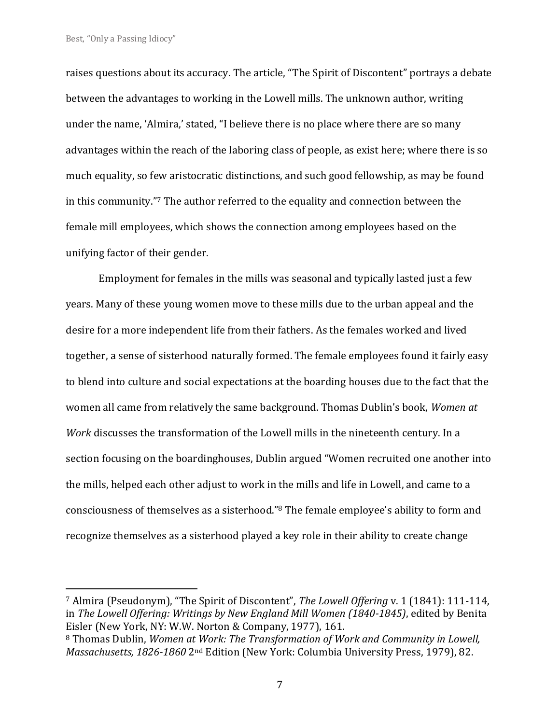raises questions about its accuracy. The article, "The Spirit of Discontent" portrays a debate between the advantages to working in the Lowell mills. The unknown author, writing under the name, 'Almira,' stated, "I believe there is no place where there are so many advantages within the reach of the laboring class of people, as exist here; where there is so much equality, so few aristocratic distinctions, and such good fellowship, as may be found in this community."<sup>7</sup> The author referred to the equality and connection between the female mill employees, which shows the connection among employees based on the unifying factor of their gender.

Employment for females in the mills was seasonal and typically lasted just a few years. Many of these young women move to these mills due to the urban appeal and the desire for a more independent life from their fathers. As the females worked and lived together, a sense of sisterhood naturally formed. The female employees found it fairly easy to blend into culture and social expectations at the boarding houses due to the fact that the women all came from relatively the same background. Thomas Dublin's book, *Women at Work* discusses the transformation of the Lowell mills in the nineteenth century. In a section focusing on the boardinghouses, Dublin argued "Women recruited one another into the mills, helped each other adjust to work in the mills and life in Lowell, and came to a consciousness of themselves as a sisterhood."<sup>8</sup> The female employee's ability to form and recognize themselves as a sisterhood played a key role in their ability to create change

<sup>7</sup> Almira (Pseudonym), "The Spirit of Discontent", *The Lowell Offering* v. 1 (1841): 111-114, in *The Lowell Offering: Writings by New England Mill Women (1840-1845)*, edited by Benita Eisler (New York, NY: W.W. Norton & Company, 1977), 161.

<sup>8</sup> Thomas Dublin, *Women at Work: The Transformation of Work and Community in Lowell, Massachusetts, 1826-1860* 2nd Edition (New York: Columbia University Press, 1979), 82.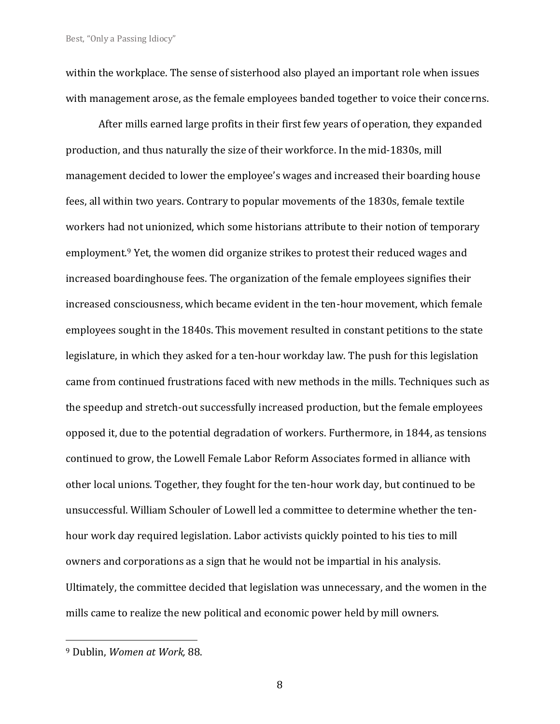within the workplace. The sense of sisterhood also played an important role when issues with management arose, as the female employees banded together to voice their concerns.

After mills earned large profits in their first few years of operation, they expanded production, and thus naturally the size of their workforce. In the mid-1830s, mill management decided to lower the employee's wages and increased their boarding house fees, all within two years. Contrary to popular movements of the 1830s, female textile workers had not unionized, which some historians attribute to their notion of temporary employment.<sup>9</sup> Yet, the women did organize strikes to protest their reduced wages and increased boardinghouse fees. The organization of the female employees signifies their increased consciousness, which became evident in the ten-hour movement, which female employees sought in the 1840s. This movement resulted in constant petitions to the state legislature, in which they asked for a ten-hour workday law. The push for this legislation came from continued frustrations faced with new methods in the mills. Techniques such as the speedup and stretch-out successfully increased production, but the female employees opposed it, due to the potential degradation of workers. Furthermore, in 1844, as tensions continued to grow, the Lowell Female Labor Reform Associates formed in alliance with other local unions. Together, they fought for the ten-hour work day, but continued to be unsuccessful. William Schouler of Lowell led a committee to determine whether the tenhour work day required legislation. Labor activists quickly pointed to his ties to mill owners and corporations as a sign that he would not be impartial in his analysis. Ultimately, the committee decided that legislation was unnecessary, and the women in the mills came to realize the new political and economic power held by mill owners.

8

<sup>9</sup> Dublin, *Women at Work,* 88.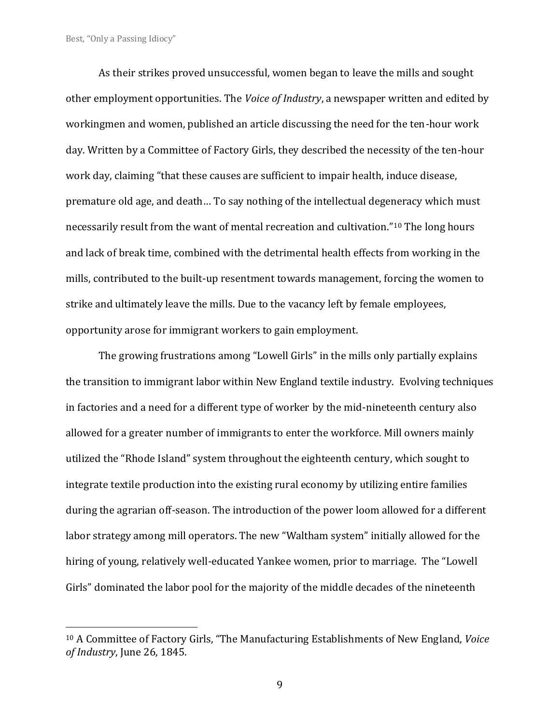As their strikes proved unsuccessful, women began to leave the mills and sought other employment opportunities. The *Voice of Industry*, a newspaper written and edited by workingmen and women, published an article discussing the need for the ten-hour work day. Written by a Committee of Factory Girls, they described the necessity of the ten-hour work day, claiming "that these causes are sufficient to impair health, induce disease, premature old age, and death… To say nothing of the intellectual degeneracy which must necessarily result from the want of mental recreation and cultivation."<sup>10</sup> The long hours and lack of break time, combined with the detrimental health effects from working in the mills, contributed to the built-up resentment towards management, forcing the women to strike and ultimately leave the mills. Due to the vacancy left by female employees, opportunity arose for immigrant workers to gain employment.

The growing frustrations among "Lowell Girls" in the mills only partially explains the transition to immigrant labor within New England textile industry. Evolving techniques in factories and a need for a different type of worker by the mid-nineteenth century also allowed for a greater number of immigrants to enter the workforce. Mill owners mainly utilized the "Rhode Island" system throughout the eighteenth century, which sought to integrate textile production into the existing rural economy by utilizing entire families during the agrarian off-season. The introduction of the power loom allowed for a different labor strategy among mill operators. The new "Waltham system" initially allowed for the hiring of young, relatively well-educated Yankee women, prior to marriage. The "Lowell Girls" dominated the labor pool for the majority of the middle decades of the nineteenth

9

<sup>10</sup> A Committee of Factory Girls, "The Manufacturing Establishments of New England, *Voice of Industry*, June 26, 1845.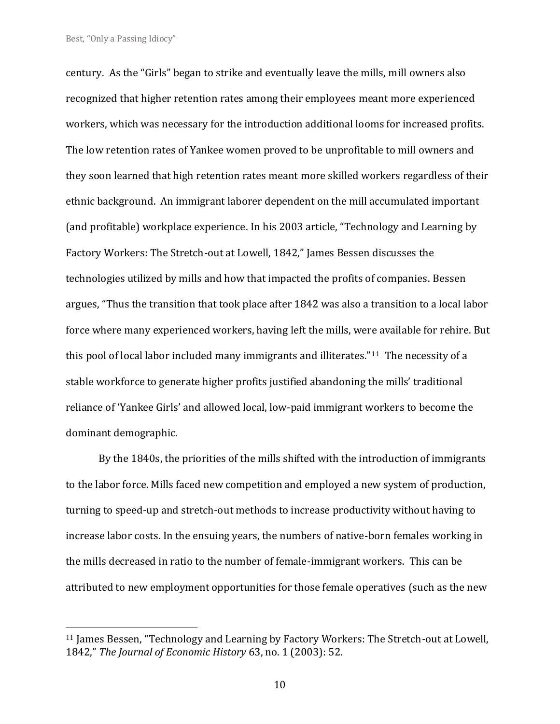century. As the "Girls" began to strike and eventually leave the mills, mill owners also recognized that higher retention rates among their employees meant more experienced workers, which was necessary for the introduction additional looms for increased profits. The low retention rates of Yankee women proved to be unprofitable to mill owners and they soon learned that high retention rates meant more skilled workers regardless of their ethnic background. An immigrant laborer dependent on the mill accumulated important (and profitable) workplace experience. In his 2003 article, "Technology and Learning by Factory Workers: The Stretch-out at Lowell, 1842," James Bessen discusses the technologies utilized by mills and how that impacted the profits of companies. Bessen argues, "Thus the transition that took place after 1842 was also a transition to a local labor force where many experienced workers, having left the mills, were available for rehire. But this pool of local labor included many immigrants and illiterates."<sup>11</sup> The necessity of a stable workforce to generate higher profits justified abandoning the mills' traditional reliance of 'Yankee Girls' and allowed local, low-paid immigrant workers to become the dominant demographic.

By the 1840s, the priorities of the mills shifted with the introduction of immigrants to the labor force. Mills faced new competition and employed a new system of production, turning to speed-up and stretch-out methods to increase productivity without having to increase labor costs. In the ensuing years, the numbers of native-born females working in the mills decreased in ratio to the number of female-immigrant workers. This can be attributed to new employment opportunities for those female operatives (such as the new

<sup>&</sup>lt;sup>11</sup> James Bessen, "Technology and Learning by Factory Workers: The Stretch-out at Lowell, 1842," *The Journal of Economic History* 63, no. 1 (2003): 52.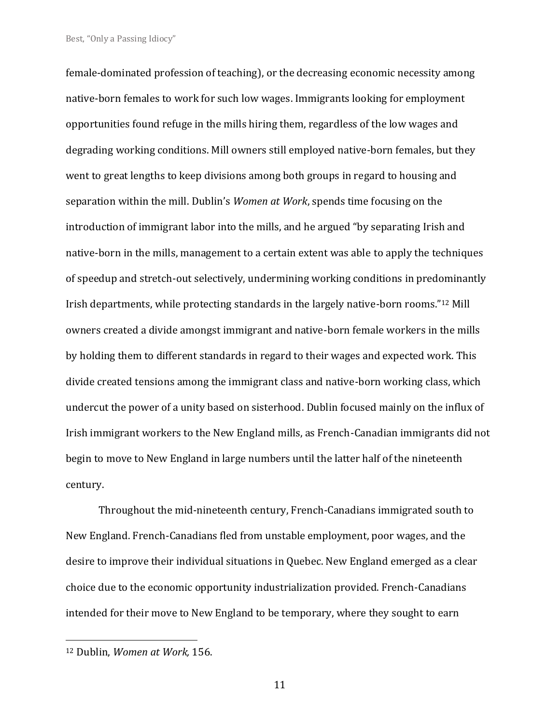female-dominated profession of teaching), or the decreasing economic necessity among native-born females to work for such low wages. Immigrants looking for employment opportunities found refuge in the mills hiring them, regardless of the low wages and degrading working conditions. Mill owners still employed native-born females, but they went to great lengths to keep divisions among both groups in regard to housing and separation within the mill. Dublin's *Women at Work*, spends time focusing on the introduction of immigrant labor into the mills, and he argued "by separating Irish and native-born in the mills, management to a certain extent was able to apply the techniques of speedup and stretch-out selectively, undermining working conditions in predominantly Irish departments, while protecting standards in the largely native-born rooms."<sup>12</sup> Mill owners created a divide amongst immigrant and native-born female workers in the mills by holding them to different standards in regard to their wages and expected work. This divide created tensions among the immigrant class and native-born working class, which undercut the power of a unity based on sisterhood. Dublin focused mainly on the influx of Irish immigrant workers to the New England mills, as French-Canadian immigrants did not begin to move to New England in large numbers until the latter half of the nineteenth century.

Throughout the mid-nineteenth century, French-Canadians immigrated south to New England. French-Canadians fled from unstable employment, poor wages, and the desire to improve their individual situations in Quebec. New England emerged as a clear choice due to the economic opportunity industrialization provided. French-Canadians intended for their move to New England to be temporary, where they sought to earn

11

<sup>12</sup> Dublin, *Women at Work,* 156.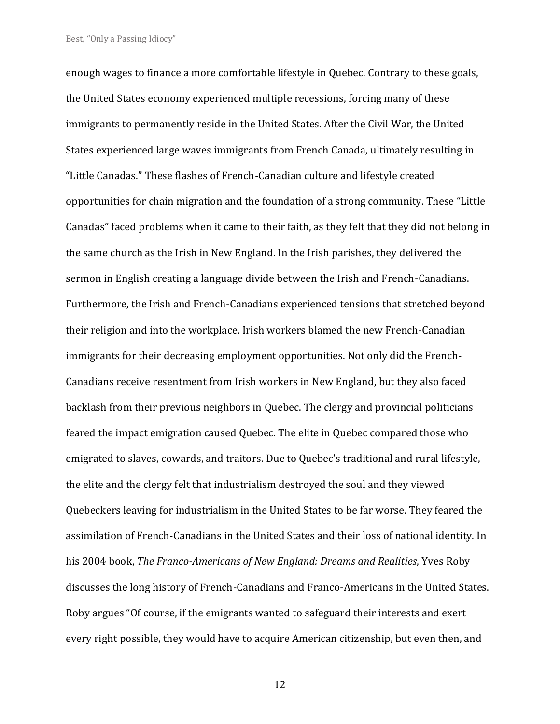enough wages to finance a more comfortable lifestyle in Quebec. Contrary to these goals, the United States economy experienced multiple recessions, forcing many of these immigrants to permanently reside in the United States. After the Civil War, the United States experienced large waves immigrants from French Canada, ultimately resulting in "Little Canadas." These flashes of French-Canadian culture and lifestyle created opportunities for chain migration and the foundation of a strong community. These "Little Canadas" faced problems when it came to their faith, as they felt that they did not belong in the same church as the Irish in New England. In the Irish parishes, they delivered the sermon in English creating a language divide between the Irish and French-Canadians. Furthermore, the Irish and French-Canadians experienced tensions that stretched beyond their religion and into the workplace. Irish workers blamed the new French-Canadian immigrants for their decreasing employment opportunities. Not only did the French-Canadians receive resentment from Irish workers in New England, but they also faced backlash from their previous neighbors in Quebec. The clergy and provincial politicians feared the impact emigration caused Quebec. The elite in Quebec compared those who emigrated to slaves, cowards, and traitors. Due to Quebec's traditional and rural lifestyle, the elite and the clergy felt that industrialism destroyed the soul and they viewed Quebeckers leaving for industrialism in the United States to be far worse. They feared the assimilation of French-Canadians in the United States and their loss of national identity. In his 2004 book, *The Franco-Americans of New England: Dreams and Realities*, Yves Roby discusses the long history of French-Canadians and Franco-Americans in the United States. Roby argues "Of course, if the emigrants wanted to safeguard their interests and exert every right possible, they would have to acquire American citizenship, but even then, and

12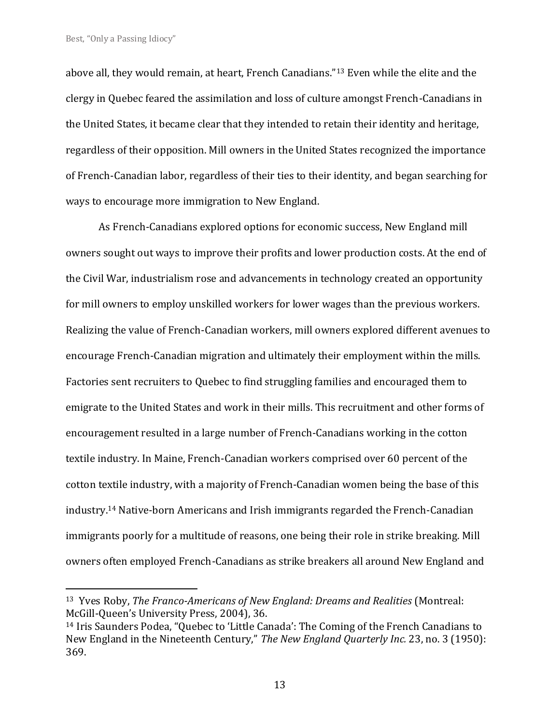above all, they would remain, at heart, French Canadians."<sup>13</sup> Even while the elite and the clergy in Quebec feared the assimilation and loss of culture amongst French-Canadians in the United States, it became clear that they intended to retain their identity and heritage, regardless of their opposition. Mill owners in the United States recognized the importance of French-Canadian labor, regardless of their ties to their identity, and began searching for ways to encourage more immigration to New England.

As French-Canadians explored options for economic success, New England mill owners sought out ways to improve their profits and lower production costs. At the end of the Civil War, industrialism rose and advancements in technology created an opportunity for mill owners to employ unskilled workers for lower wages than the previous workers. Realizing the value of French-Canadian workers, mill owners explored different avenues to encourage French-Canadian migration and ultimately their employment within the mills. Factories sent recruiters to Quebec to find struggling families and encouraged them to emigrate to the United States and work in their mills. This recruitment and other forms of encouragement resulted in a large number of French-Canadians working in the cotton textile industry. In Maine, French-Canadian workers comprised over 60 percent of the cotton textile industry, with a majority of French-Canadian women being the base of this industry.<sup>14</sup> Native-born Americans and Irish immigrants regarded the French-Canadian immigrants poorly for a multitude of reasons, one being their role in strike breaking. Mill owners often employed French-Canadians as strike breakers all around New England and

<sup>13</sup> Yves Roby, *The Franco-Americans of New England: Dreams and Realities* (Montreal: McGill-Queen's University Press, 2004), 36.

<sup>14</sup> Iris Saunders Podea, "Quebec to 'Little Canada': The Coming of the French Canadians to New England in the Nineteenth Century," *The New England Quarterly Inc.* 23, no. 3 (1950): 369.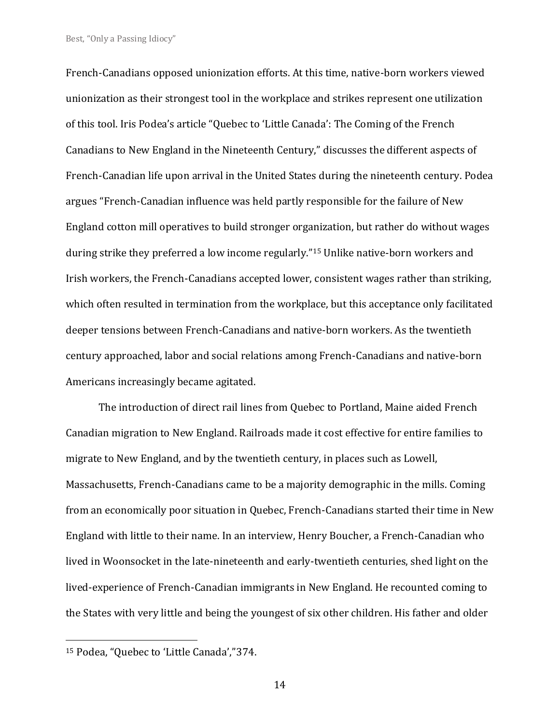French-Canadians opposed unionization efforts. At this time, native-born workers viewed unionization as their strongest tool in the workplace and strikes represent one utilization of this tool. Iris Podea's article "Quebec to 'Little Canada': The Coming of the French Canadians to New England in the Nineteenth Century," discusses the different aspects of French-Canadian life upon arrival in the United States during the nineteenth century. Podea argues "French-Canadian influence was held partly responsible for the failure of New England cotton mill operatives to build stronger organization, but rather do without wages during strike they preferred a low income regularly."<sup>15</sup> Unlike native-born workers and Irish workers, the French-Canadians accepted lower, consistent wages rather than striking, which often resulted in termination from the workplace, but this acceptance only facilitated deeper tensions between French-Canadians and native-born workers. As the twentieth century approached, labor and social relations among French-Canadians and native-born Americans increasingly became agitated.

The introduction of direct rail lines from Quebec to Portland, Maine aided French Canadian migration to New England. Railroads made it cost effective for entire families to migrate to New England, and by the twentieth century, in places such as Lowell, Massachusetts, French-Canadians came to be a majority demographic in the mills. Coming from an economically poor situation in Quebec, French-Canadians started their time in New England with little to their name. In an interview, Henry Boucher, a French-Canadian who lived in Woonsocket in the late-nineteenth and early-twentieth centuries, shed light on the lived-experience of French-Canadian immigrants in New England. He recounted coming to the States with very little and being the youngest of six other children. His father and older

<sup>15</sup> Podea, "Quebec to 'Little Canada',"374.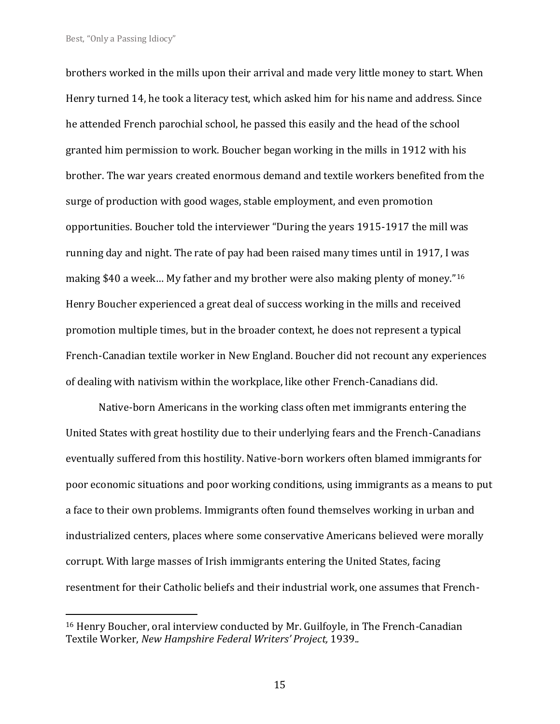brothers worked in the mills upon their arrival and made very little money to start. When Henry turned 14, he took a literacy test, which asked him for his name and address. Since he attended French parochial school, he passed this easily and the head of the school granted him permission to work. Boucher began working in the mills in 1912 with his brother. The war years created enormous demand and textile workers benefited from the surge of production with good wages, stable employment, and even promotion opportunities. Boucher told the interviewer "During the years 1915-1917 the mill was running day and night. The rate of pay had been raised many times until in 1917, I was making \$40 a week… My father and my brother were also making plenty of money."<sup>16</sup> Henry Boucher experienced a great deal of success working in the mills and received promotion multiple times, but in the broader context, he does not represent a typical French-Canadian textile worker in New England. Boucher did not recount any experiences of dealing with nativism within the workplace, like other French-Canadians did.

Native-born Americans in the working class often met immigrants entering the United States with great hostility due to their underlying fears and the French-Canadians eventually suffered from this hostility. Native-born workers often blamed immigrants for poor economic situations and poor working conditions, using immigrants as a means to put a face to their own problems. Immigrants often found themselves working in urban and industrialized centers, places where some conservative Americans believed were morally corrupt. With large masses of Irish immigrants entering the United States, facing resentment for their Catholic beliefs and their industrial work, one assumes that French-

<sup>16</sup> Henry Boucher, oral interview conducted by Mr. Guilfoyle, in The French-Canadian Textile Worker, *New Hampshire Federal Writers' Project,* 1939.*.*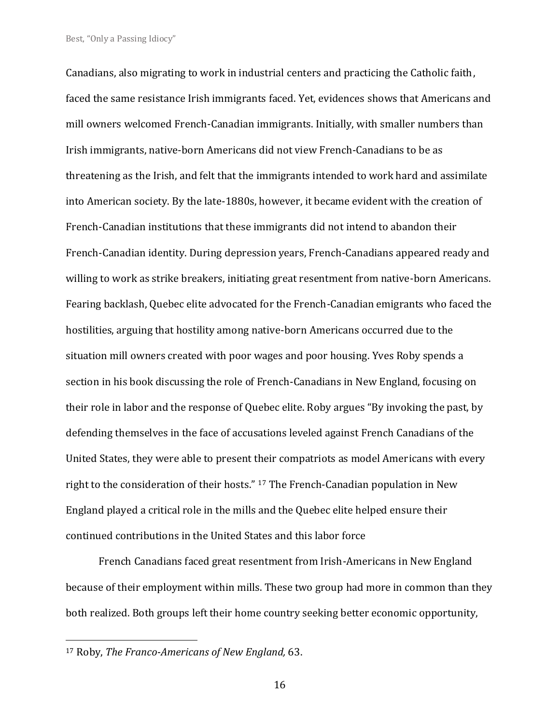Canadians, also migrating to work in industrial centers and practicing the Catholic faith, faced the same resistance Irish immigrants faced. Yet, evidences shows that Americans and mill owners welcomed French-Canadian immigrants. Initially, with smaller numbers than Irish immigrants, native-born Americans did not view French-Canadians to be as threatening as the Irish, and felt that the immigrants intended to work hard and assimilate into American society. By the late-1880s, however, it became evident with the creation of French-Canadian institutions that these immigrants did not intend to abandon their French-Canadian identity. During depression years, French-Canadians appeared ready and willing to work as strike breakers, initiating great resentment from native-born Americans. Fearing backlash, Quebec elite advocated for the French-Canadian emigrants who faced the hostilities, arguing that hostility among native-born Americans occurred due to the situation mill owners created with poor wages and poor housing. Yves Roby spends a section in his book discussing the role of French-Canadians in New England, focusing on their role in labor and the response of Quebec elite. Roby argues "By invoking the past, by defending themselves in the face of accusations leveled against French Canadians of the United States, they were able to present their compatriots as model Americans with every right to the consideration of their hosts." <sup>17</sup> The French-Canadian population in New England played a critical role in the mills and the Quebec elite helped ensure their continued contributions in the United States and this labor force

French Canadians faced great resentment from Irish-Americans in New England because of their employment within mills. These two group had more in common than they both realized. Both groups left their home country seeking better economic opportunity,

<sup>17</sup> Roby, *The Franco-Americans of New England,* 63.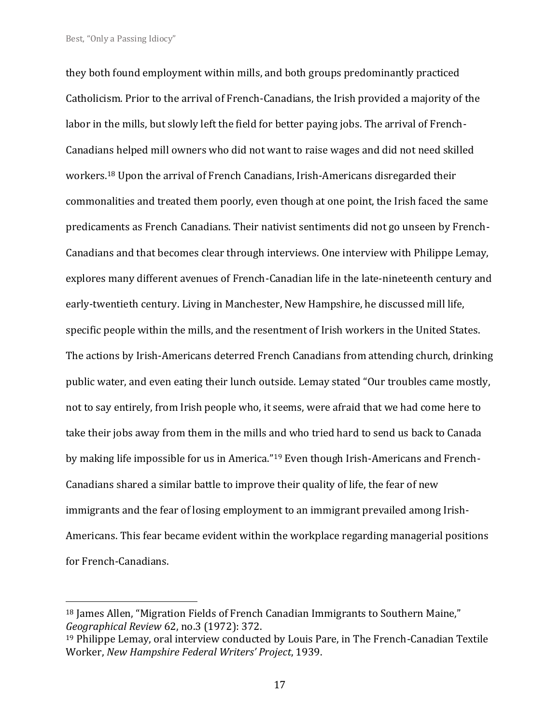they both found employment within mills, and both groups predominantly practiced Catholicism. Prior to the arrival of French-Canadians, the Irish provided a majority of the labor in the mills, but slowly left the field for better paying jobs. The arrival of French-Canadians helped mill owners who did not want to raise wages and did not need skilled workers.<sup>18</sup> Upon the arrival of French Canadians, Irish-Americans disregarded their commonalities and treated them poorly, even though at one point, the Irish faced the same predicaments as French Canadians. Their nativist sentiments did not go unseen by French-Canadians and that becomes clear through interviews. One interview with Philippe Lemay, explores many different avenues of French-Canadian life in the late-nineteenth century and early-twentieth century. Living in Manchester, New Hampshire, he discussed mill life, specific people within the mills, and the resentment of Irish workers in the United States. The actions by Irish-Americans deterred French Canadians from attending church, drinking public water, and even eating their lunch outside. Lemay stated "Our troubles came mostly, not to say entirely, from Irish people who, it seems, were afraid that we had come here to take their jobs away from them in the mills and who tried hard to send us back to Canada by making life impossible for us in America."<sup>19</sup> Even though Irish-Americans and French-Canadians shared a similar battle to improve their quality of life, the fear of new immigrants and the fear of losing employment to an immigrant prevailed among Irish-Americans. This fear became evident within the workplace regarding managerial positions for French-Canadians.

<sup>18</sup> James Allen, "Migration Fields of French Canadian Immigrants to Southern Maine," *Geographical Review* 62, no.3 (1972): 372.

<sup>19</sup> Philippe Lemay, oral interview conducted by Louis Pare, in The French-Canadian Textile Worker, *New Hampshire Federal Writers' Project*, 1939.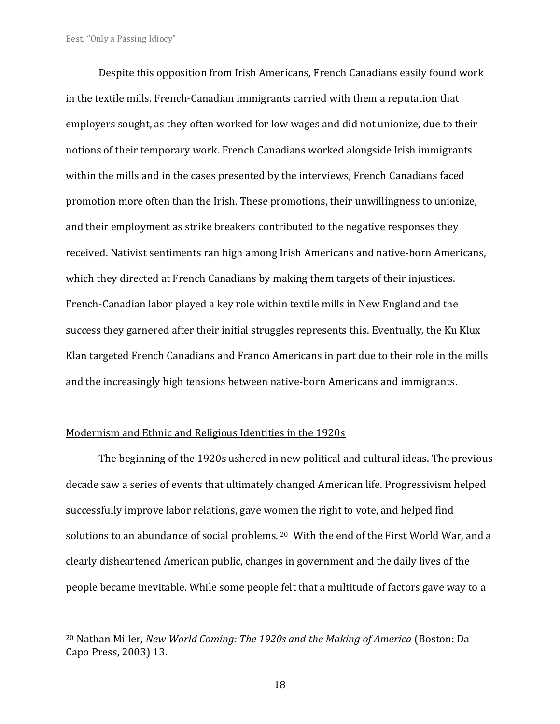Despite this opposition from Irish Americans, French Canadians easily found work in the textile mills. French-Canadian immigrants carried with them a reputation that employers sought, as they often worked for low wages and did not unionize, due to their notions of their temporary work. French Canadians worked alongside Irish immigrants within the mills and in the cases presented by the interviews, French Canadians faced promotion more often than the Irish. These promotions, their unwillingness to unionize, and their employment as strike breakers contributed to the negative responses they received. Nativist sentiments ran high among Irish Americans and native-born Americans, which they directed at French Canadians by making them targets of their injustices. French-Canadian labor played a key role within textile mills in New England and the success they garnered after their initial struggles represents this. Eventually, the Ku Klux Klan targeted French Canadians and Franco Americans in part due to their role in the mills and the increasingly high tensions between native-born Americans and immigrants.

## Modernism and Ethnic and Religious Identities in the 1920s

The beginning of the 1920s ushered in new political and cultural ideas. The previous decade saw a series of events that ultimately changed American life. Progressivism helped successfully improve labor relations, gave women the right to vote, and helped find solutions to an abundance of social problems. <sup>20</sup> With the end of the First World War, and a clearly disheartened American public, changes in government and the daily lives of the people became inevitable. While some people felt that a multitude of factors gave way to a

<sup>20</sup> Nathan Miller, *New World Coming: The 1920s and the Making of America* (Boston: Da Capo Press, 2003) 13.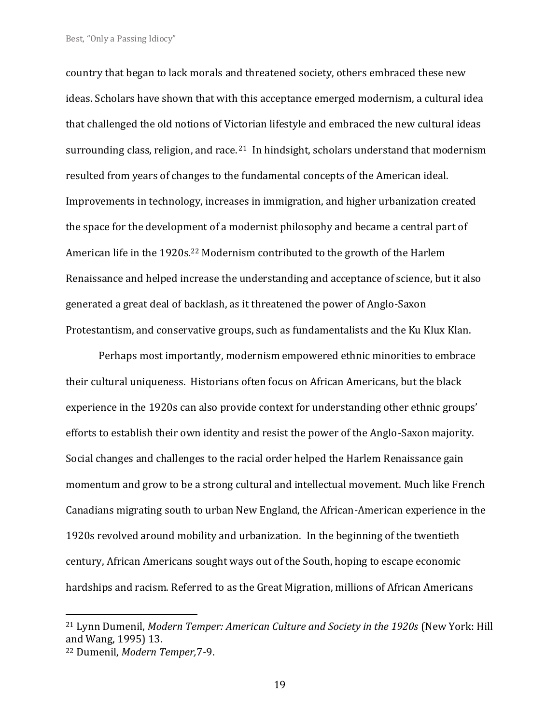country that began to lack morals and threatened society, others embraced these new ideas. Scholars have shown that with this acceptance emerged modernism, a cultural idea that challenged the old notions of Victorian lifestyle and embraced the new cultural ideas surrounding class, religion, and race.<sup>21</sup> In hindsight, scholars understand that modernism resulted from years of changes to the fundamental concepts of the American ideal. Improvements in technology, increases in immigration, and higher urbanization created the space for the development of a modernist philosophy and became a central part of American life in the 1920s.<sup>22</sup> Modernism contributed to the growth of the Harlem Renaissance and helped increase the understanding and acceptance of science, but it also generated a great deal of backlash, as it threatened the power of Anglo-Saxon Protestantism, and conservative groups, such as fundamentalists and the Ku Klux Klan.

Perhaps most importantly, modernism empowered ethnic minorities to embrace their cultural uniqueness. Historians often focus on African Americans, but the black experience in the 1920s can also provide context for understanding other ethnic groups' efforts to establish their own identity and resist the power of the Anglo-Saxon majority. Social changes and challenges to the racial order helped the Harlem Renaissance gain momentum and grow to be a strong cultural and intellectual movement. Much like French Canadians migrating south to urban New England, the African-American experience in the 1920s revolved around mobility and urbanization. In the beginning of the twentieth century, African Americans sought ways out of the South, hoping to escape economic hardships and racism. Referred to as the Great Migration, millions of African Americans

<sup>21</sup> Lynn Dumenil, *Modern Temper: American Culture and Society in the 1920s* (New York: Hill and Wang, 1995) 13.

<sup>22</sup> Dumenil, *Modern Temper,*7-9.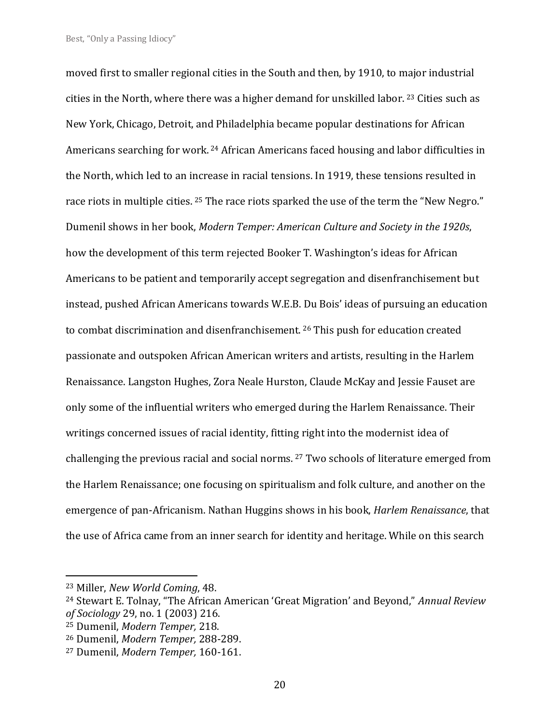moved first to smaller regional cities in the South and then, by 1910, to major industrial cities in the North, where there was a higher demand for unskilled labor. <sup>23</sup> Cities such as New York, Chicago, Detroit, and Philadelphia became popular destinations for African Americans searching for work. <sup>24</sup> African Americans faced housing and labor difficulties in the North, which led to an increase in racial tensions. In 1919, these tensions resulted in race riots in multiple cities. <sup>25</sup> The race riots sparked the use of the term the "New Negro." Dumenil shows in her book, *Modern Temper: American Culture and Society in the 1920s*, how the development of this term rejected Booker T. Washington's ideas for African Americans to be patient and temporarily accept segregation and disenfranchisement but instead, pushed African Americans towards W.E.B. Du Bois' ideas of pursuing an education to combat discrimination and disenfranchisement. <sup>26</sup> This push for education created passionate and outspoken African American writers and artists, resulting in the Harlem Renaissance. Langston Hughes, Zora Neale Hurston, Claude McKay and Jessie Fauset are only some of the influential writers who emerged during the Harlem Renaissance. Their writings concerned issues of racial identity, fitting right into the modernist idea of challenging the previous racial and social norms. <sup>27</sup> Two schools of literature emerged from the Harlem Renaissance; one focusing on spiritualism and folk culture, and another on the emergence of pan-Africanism. Nathan Huggins shows in his book, *Harlem Renaissance*, that the use of Africa came from an inner search for identity and heritage. While on this search

<sup>23</sup> Miller, *New World Coming*, 48.

<sup>24</sup> Stewart E. Tolnay, "The African American 'Great Migration' and Beyond," *Annual Review of Sociology* 29, no. 1 (2003) 216.

<sup>25</sup> Dumenil, *Modern Temper,* 218.

<sup>26</sup> Dumenil, *Modern Temper,* 288-289.

<sup>27</sup> Dumenil, *Modern Temper,* 160-161.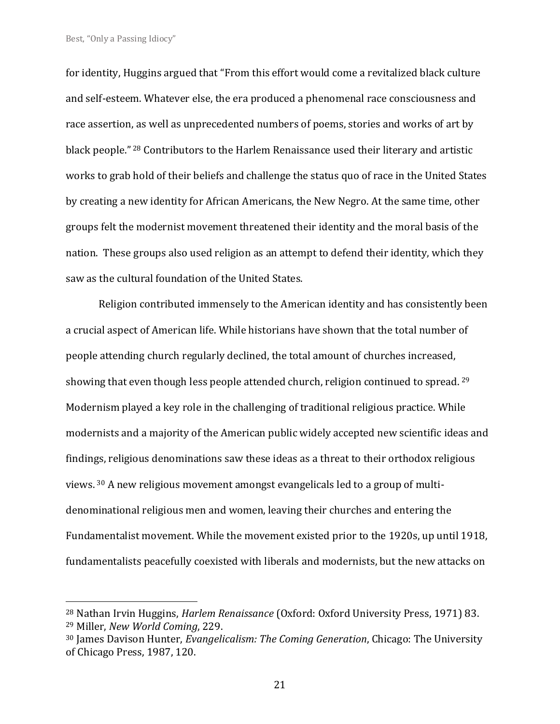for identity, Huggins argued that "From this effort would come a revitalized black culture and self-esteem. Whatever else, the era produced a phenomenal race consciousness and race assertion, as well as unprecedented numbers of poems, stories and works of art by black people." <sup>28</sup> Contributors to the Harlem Renaissance used their literary and artistic works to grab hold of their beliefs and challenge the status quo of race in the United States by creating a new identity for African Americans, the New Negro. At the same time, other groups felt the modernist movement threatened their identity and the moral basis of the nation. These groups also used religion as an attempt to defend their identity, which they saw as the cultural foundation of the United States.

Religion contributed immensely to the American identity and has consistently been a crucial aspect of American life. While historians have shown that the total number of people attending church regularly declined, the total amount of churches increased, showing that even though less people attended church, religion continued to spread. <sup>29</sup> Modernism played a key role in the challenging of traditional religious practice. While modernists and a majority of the American public widely accepted new scientific ideas and findings, religious denominations saw these ideas as a threat to their orthodox religious views. <sup>30</sup> A new religious movement amongst evangelicals led to a group of multidenominational religious men and women, leaving their churches and entering the Fundamentalist movement. While the movement existed prior to the 1920s, up until 1918, fundamentalists peacefully coexisted with liberals and modernists, but the new attacks on

<sup>28</sup> Nathan Irvin Huggins, *Harlem Renaissance* (Oxford: Oxford University Press, 1971) 83. <sup>29</sup> Miller, *New World Coming*, 229.

<sup>30</sup> James Davison Hunter, *Evangelicalism: The Coming Generation*, Chicago: The University of Chicago Press, 1987, 120.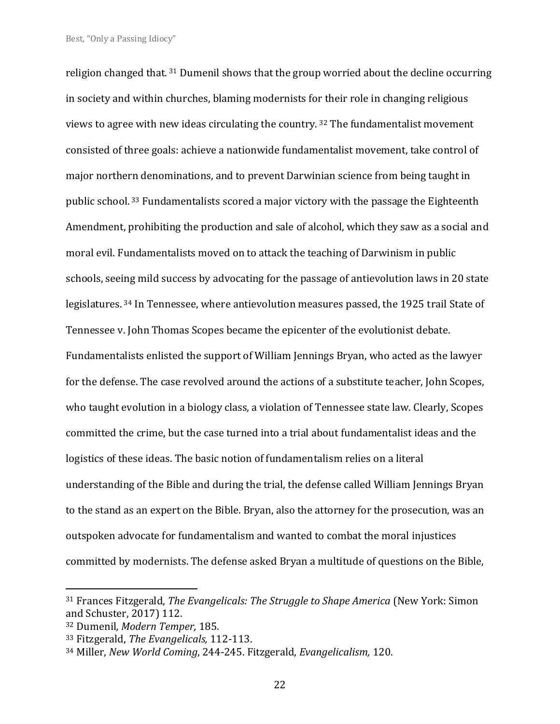religion changed that. <sup>31</sup> Dumenil shows that the group worried about the decline occurring in society and within churches, blaming modernists for their role in changing religious views to agree with new ideas circulating the country. <sup>32</sup> The fundamentalist movement consisted of three goals: achieve a nationwide fundamentalist movement, take control of major northern denominations, and to prevent Darwinian science from being taught in public school. <sup>33</sup> Fundamentalists scored a major victory with the passage the Eighteenth Amendment, prohibiting the production and sale of alcohol, which they saw as a social and moral evil. Fundamentalists moved on to attack the teaching of Darwinism in public schools, seeing mild success by advocating for the passage of antievolution laws in 20 state legislatures. <sup>34</sup> In Tennessee, where antievolution measures passed, the 1925 trail State of Tennessee v. John Thomas Scopes became the epicenter of the evolutionist debate. Fundamentalists enlisted the support of William Jennings Bryan, who acted as the lawyer for the defense. The case revolved around the actions of a substitute teacher, John Scopes, who taught evolution in a biology class, a violation of Tennessee state law. Clearly, Scopes committed the crime, but the case turned into a trial about fundamentalist ideas and the logistics of these ideas. The basic notion of fundamentalism relies on a literal understanding of the Bible and during the trial, the defense called William Jennings Bryan to the stand as an expert on the Bible. Bryan, also the attorney for the prosecution, was an outspoken advocate for fundamentalism and wanted to combat the moral injustices committed by modernists. The defense asked Bryan a multitude of questions on the Bible,

<sup>31</sup> Frances Fitzgerald, *The Evangelicals: The Struggle to Shape America* (New York: Simon and Schuster, 2017) 112.

<sup>32</sup> Dumenil*, Modern Temper,* 185.

<sup>33</sup> Fitzgerald, *The Evangelicals,* 112-113.

<sup>34</sup> Miller, *New World Coming*, 244-245. Fitzgerald, *Evangelicalism,* 120.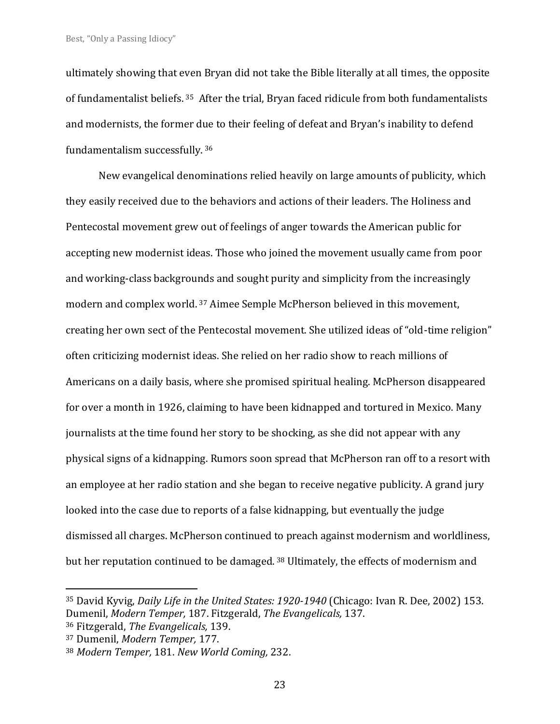ultimately showing that even Bryan did not take the Bible literally at all times, the opposite of fundamentalist beliefs. <sup>35</sup> After the trial, Bryan faced ridicule from both fundamentalists and modernists, the former due to their feeling of defeat and Bryan's inability to defend fundamentalism successfully. <sup>36</sup>

New evangelical denominations relied heavily on large amounts of publicity, which they easily received due to the behaviors and actions of their leaders. The Holiness and Pentecostal movement grew out of feelings of anger towards the American public for accepting new modernist ideas. Those who joined the movement usually came from poor and working-class backgrounds and sought purity and simplicity from the increasingly modern and complex world. <sup>37</sup> Aimee Semple McPherson believed in this movement, creating her own sect of the Pentecostal movement. She utilized ideas of "old-time religion" often criticizing modernist ideas. She relied on her radio show to reach millions of Americans on a daily basis, where she promised spiritual healing. McPherson disappeared for over a month in 1926, claiming to have been kidnapped and tortured in Mexico. Many journalists at the time found her story to be shocking, as she did not appear with any physical signs of a kidnapping. Rumors soon spread that McPherson ran off to a resort with an employee at her radio station and she began to receive negative publicity. A grand jury looked into the case due to reports of a false kidnapping, but eventually the judge dismissed all charges. McPherson continued to preach against modernism and worldliness, but her reputation continued to be damaged. <sup>38</sup> Ultimately, the effects of modernism and

<sup>35</sup> David Kyvig, *Daily Life in the United States: 1920-1940* (Chicago: Ivan R. Dee, 2002) 153. Dumenil, *Modern Temper,* 187. Fitzgerald, *The Evangelicals,* 137.

<sup>36</sup> Fitzgerald, *The Evangelicals,* 139.

<sup>37</sup> Dumenil, *Modern Temper,* 177.

<sup>38</sup> *Modern Temper,* 181. *New World Coming,* 232.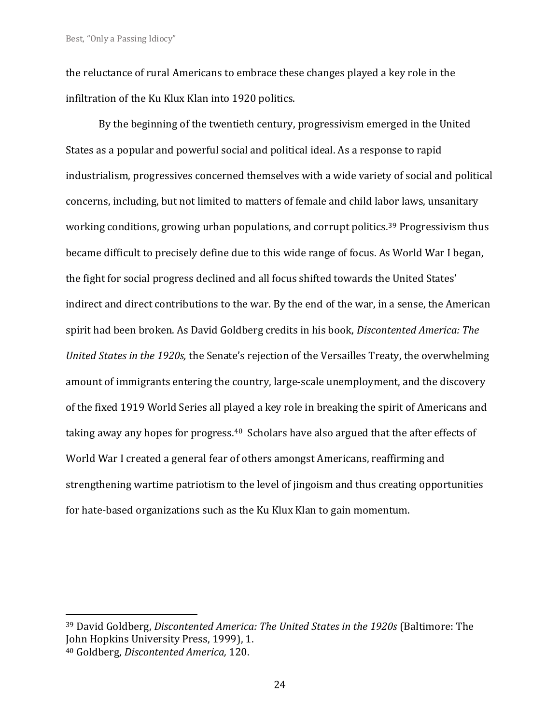the reluctance of rural Americans to embrace these changes played a key role in the infiltration of the Ku Klux Klan into 1920 politics.

By the beginning of the twentieth century, progressivism emerged in the United States as a popular and powerful social and political ideal. As a response to rapid industrialism, progressives concerned themselves with a wide variety of social and political concerns, including, but not limited to matters of female and child labor laws, unsanitary working conditions, growing urban populations, and corrupt politics.<sup>39</sup> Progressivism thus became difficult to precisely define due to this wide range of focus. As World War I began, the fight for social progress declined and all focus shifted towards the United States' indirect and direct contributions to the war. By the end of the war, in a sense, the American spirit had been broken. As David Goldberg credits in his book, *Discontented America: The United States in the 1920s,* the Senate's rejection of the Versailles Treaty, the overwhelming amount of immigrants entering the country, large-scale unemployment, and the discovery of the fixed 1919 World Series all played a key role in breaking the spirit of Americans and taking away any hopes for progress.<sup>40</sup> Scholars have also argued that the after effects of World War I created a general fear of others amongst Americans, reaffirming and strengthening wartime patriotism to the level of jingoism and thus creating opportunities for hate-based organizations such as the Ku Klux Klan to gain momentum.

<sup>39</sup> David Goldberg, *Discontented America: The United States in the 1920s* (Baltimore: The John Hopkins University Press, 1999), 1.

<sup>40</sup> Goldberg, *Discontented America,* 120.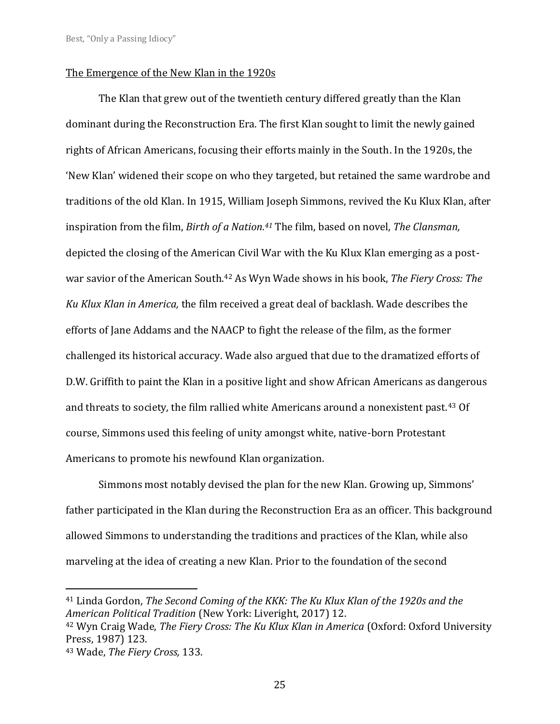## The Emergence of the New Klan in the 1920s

The Klan that grew out of the twentieth century differed greatly than the Klan dominant during the Reconstruction Era. The first Klan sought to limit the newly gained rights of African Americans, focusing their efforts mainly in the South. In the 1920s, the 'New Klan' widened their scope on who they targeted, but retained the same wardrobe and traditions of the old Klan. In 1915, William Joseph Simmons, revived the Ku Klux Klan, after inspiration from the film, *Birth of a Nation.<sup>41</sup>* The film, based on novel, *The Clansman,* depicted the closing of the American Civil War with the Ku Klux Klan emerging as a postwar savior of the American South.<sup>42</sup> As Wyn Wade shows in his book, *The Fiery Cross: The Ku Klux Klan in America,* the film received a great deal of backlash. Wade describes the efforts of Jane Addams and the NAACP to fight the release of the film, as the former challenged its historical accuracy. Wade also argued that due to the dramatized efforts of D.W. Griffith to paint the Klan in a positive light and show African Americans as dangerous and threats to society, the film rallied white Americans around a nonexistent past.<sup>43</sup> Of course, Simmons used this feeling of unity amongst white, native-born Protestant Americans to promote his newfound Klan organization.

Simmons most notably devised the plan for the new Klan. Growing up, Simmons' father participated in the Klan during the Reconstruction Era as an officer. This background allowed Simmons to understanding the traditions and practices of the Klan, while also marveling at the idea of creating a new Klan. Prior to the foundation of the second

<sup>41</sup> Linda Gordon, *The Second Coming of the KKK: The Ku Klux Klan of the 1920s and the American Political Tradition* (New York: Liveright, 2017) 12.

<sup>42</sup> Wyn Craig Wade, *The Fiery Cross: The Ku Klux Klan in America* (Oxford: Oxford University Press, 1987) 123.

<sup>43</sup> Wade, *The Fiery Cross,* 133.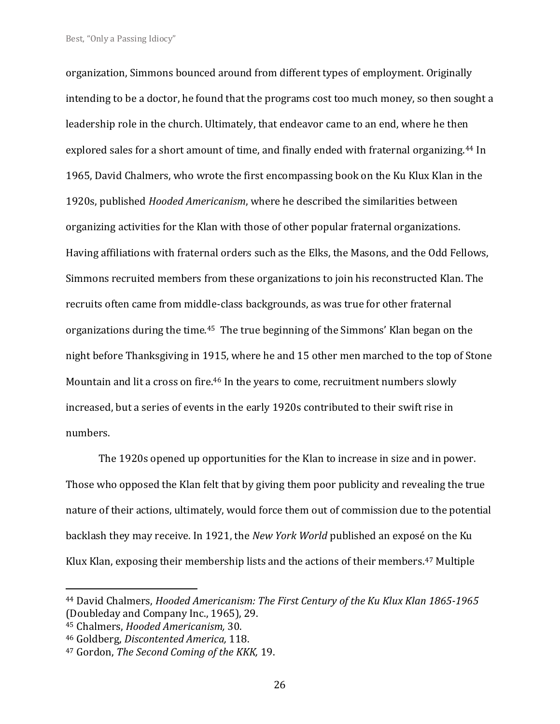organization, Simmons bounced around from different types of employment. Originally intending to be a doctor, he found that the programs cost too much money, so then sought a leadership role in the church. Ultimately, that endeavor came to an end, where he then explored sales for a short amount of time, and finally ended with fraternal organizing.<sup>44</sup> In 1965, David Chalmers, who wrote the first encompassing book on the Ku Klux Klan in the 1920s, published *Hooded Americanism*, where he described the similarities between organizing activities for the Klan with those of other popular fraternal organizations. Having affiliations with fraternal orders such as the Elks, the Masons, and the Odd Fellows, Simmons recruited members from these organizations to join his reconstructed Klan. The recruits often came from middle-class backgrounds, as was true for other fraternal organizations during the time.45 The true beginning of the Simmons' Klan began on the night before Thanksgiving in 1915, where he and 15 other men marched to the top of Stone Mountain and lit a cross on fire.<sup>46</sup> In the years to come, recruitment numbers slowly increased, but a series of events in the early 1920s contributed to their swift rise in numbers.

The 1920s opened up opportunities for the Klan to increase in size and in power. Those who opposed the Klan felt that by giving them poor publicity and revealing the true nature of their actions, ultimately, would force them out of commission due to the potential backlash they may receive. In 1921, the *New York World* published an exposé on the Ku Klux Klan, exposing their membership lists and the actions of their members.<sup>47</sup> Multiple

<sup>44</sup> David Chalmers, *Hooded Americanism: The First Century of the Ku Klux Klan 1865-1965*  (Doubleday and Company Inc., 1965), 29.

<sup>45</sup> Chalmers, *Hooded Americanism,* 30.

<sup>46</sup> Goldberg, *Discontented America,* 118.

<sup>47</sup> Gordon, *The Second Coming of the KKK,* 19.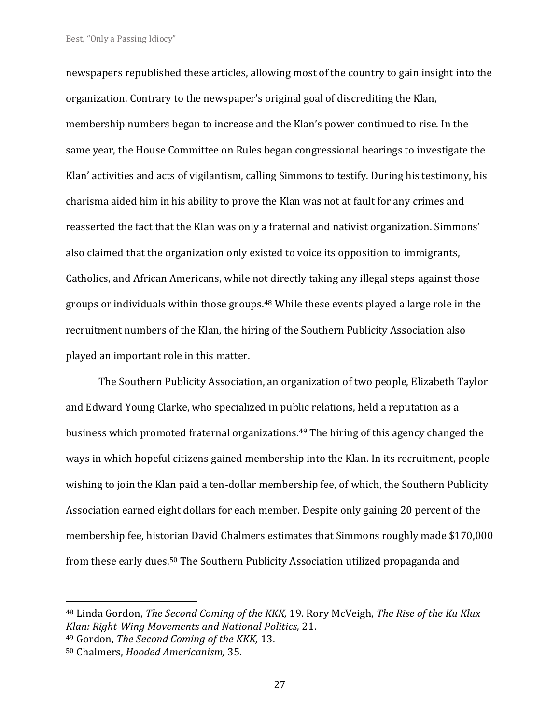newspapers republished these articles, allowing most of the country to gain insight into the organization. Contrary to the newspaper's original goal of discrediting the Klan, membership numbers began to increase and the Klan's power continued to rise. In the same year, the House Committee on Rules began congressional hearings to investigate the Klan' activities and acts of vigilantism, calling Simmons to testify. During his testimony, his charisma aided him in his ability to prove the Klan was not at fault for any crimes and reasserted the fact that the Klan was only a fraternal and nativist organization. Simmons' also claimed that the organization only existed to voice its opposition to immigrants, Catholics, and African Americans, while not directly taking any illegal steps against those groups or individuals within those groups.<sup>48</sup> While these events played a large role in the recruitment numbers of the Klan, the hiring of the Southern Publicity Association also played an important role in this matter.

The Southern Publicity Association, an organization of two people, Elizabeth Taylor and Edward Young Clarke, who specialized in public relations, held a reputation as a business which promoted fraternal organizations.<sup>49</sup> The hiring of this agency changed the ways in which hopeful citizens gained membership into the Klan. In its recruitment, people wishing to join the Klan paid a ten-dollar membership fee, of which, the Southern Publicity Association earned eight dollars for each member. Despite only gaining 20 percent of the membership fee, historian David Chalmers estimates that Simmons roughly made \$170,000 from these early dues.<sup>50</sup> The Southern Publicity Association utilized propaganda and

<sup>48</sup> Linda Gordon, *The Second Coming of the KKK,* 19. Rory McVeigh, *The Rise of the Ku Klux Klan: Right-Wing Movements and National Politics,* 21.

<sup>49</sup> Gordon, *The Second Coming of the KKK,* 13.

<sup>50</sup> Chalmers, *Hooded Americanism,* 35.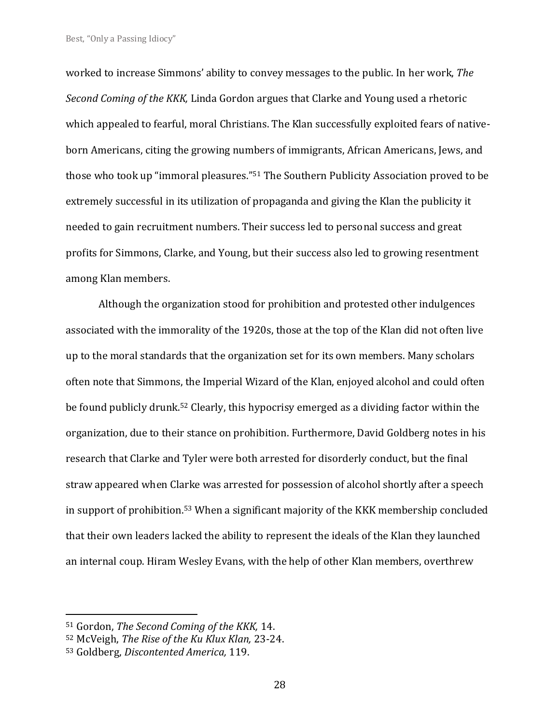worked to increase Simmons' ability to convey messages to the public. In her work, *The Second Coming of the KKK,* Linda Gordon argues that Clarke and Young used a rhetoric which appealed to fearful, moral Christians. The Klan successfully exploited fears of nativeborn Americans, citing the growing numbers of immigrants, African Americans, Jews, and those who took up "immoral pleasures."<sup>51</sup> The Southern Publicity Association proved to be extremely successful in its utilization of propaganda and giving the Klan the publicity it needed to gain recruitment numbers. Their success led to personal success and great profits for Simmons, Clarke, and Young, but their success also led to growing resentment among Klan members.

Although the organization stood for prohibition and protested other indulgences associated with the immorality of the 1920s, those at the top of the Klan did not often live up to the moral standards that the organization set for its own members. Many scholars often note that Simmons, the Imperial Wizard of the Klan, enjoyed alcohol and could often be found publicly drunk.<sup>52</sup> Clearly, this hypocrisy emerged as a dividing factor within the organization, due to their stance on prohibition. Furthermore, David Goldberg notes in his research that Clarke and Tyler were both arrested for disorderly conduct, but the final straw appeared when Clarke was arrested for possession of alcohol shortly after a speech in support of prohibition.<sup>53</sup> When a significant majority of the KKK membership concluded that their own leaders lacked the ability to represent the ideals of the Klan they launched an internal coup. Hiram Wesley Evans, with the help of other Klan members, overthrew

<sup>51</sup> Gordon, *The Second Coming of the KKK,* 14.

<sup>52</sup> McVeigh, *The Rise of the Ku Klux Klan,* 23-24.

<sup>53</sup> Goldberg, *Discontented America,* 119.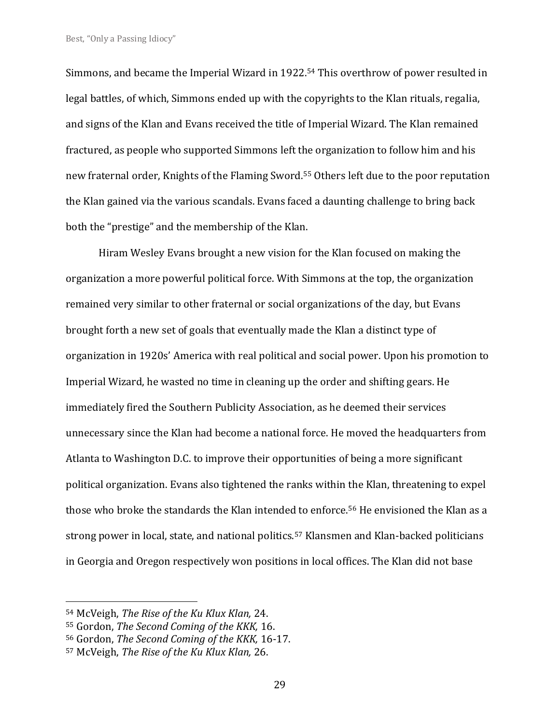Simmons, and became the Imperial Wizard in 1922.<sup>54</sup> This overthrow of power resulted in legal battles, of which, Simmons ended up with the copyrights to the Klan rituals, regalia, and signs of the Klan and Evans received the title of Imperial Wizard. The Klan remained fractured, as people who supported Simmons left the organization to follow him and his new fraternal order, Knights of the Flaming Sword.<sup>55</sup> Others left due to the poor reputation the Klan gained via the various scandals. Evans faced a daunting challenge to bring back both the "prestige" and the membership of the Klan.

Hiram Wesley Evans brought a new vision for the Klan focused on making the organization a more powerful political force. With Simmons at the top, the organization remained very similar to other fraternal or social organizations of the day, but Evans brought forth a new set of goals that eventually made the Klan a distinct type of organization in 1920s' America with real political and social power. Upon his promotion to Imperial Wizard, he wasted no time in cleaning up the order and shifting gears. He immediately fired the Southern Publicity Association, as he deemed their services unnecessary since the Klan had become a national force. He moved the headquarters from Atlanta to Washington D.C. to improve their opportunities of being a more significant political organization. Evans also tightened the ranks within the Klan, threatening to expel those who broke the standards the Klan intended to enforce.<sup>56</sup> He envisioned the Klan as a strong power in local, state, and national politics.<sup>57</sup> Klansmen and Klan-backed politicians in Georgia and Oregon respectively won positions in local offices. The Klan did not base

<sup>54</sup> McVeigh, *The Rise of the Ku Klux Klan,* 24.

<sup>55</sup> Gordon, *The Second Coming of the KKK,* 16.

<sup>56</sup> Gordon, *The Second Coming of the KKK,* 16-17.

<sup>57</sup> McVeigh, *The Rise of the Ku Klux Klan,* 26.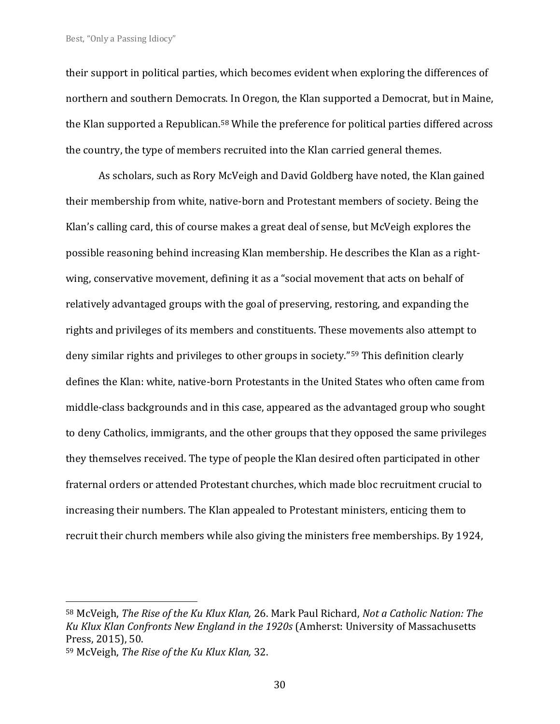their support in political parties, which becomes evident when exploring the differences of northern and southern Democrats. In Oregon, the Klan supported a Democrat, but in Maine, the Klan supported a Republican.<sup>58</sup> While the preference for political parties differed across the country, the type of members recruited into the Klan carried general themes.

As scholars, such as Rory McVeigh and David Goldberg have noted, the Klan gained their membership from white, native-born and Protestant members of society. Being the Klan's calling card, this of course makes a great deal of sense, but McVeigh explores the possible reasoning behind increasing Klan membership. He describes the Klan as a rightwing, conservative movement, defining it as a "social movement that acts on behalf of relatively advantaged groups with the goal of preserving, restoring, and expanding the rights and privileges of its members and constituents. These movements also attempt to deny similar rights and privileges to other groups in society."<sup>59</sup> This definition clearly defines the Klan: white, native-born Protestants in the United States who often came from middle-class backgrounds and in this case, appeared as the advantaged group who sought to deny Catholics, immigrants, and the other groups that they opposed the same privileges they themselves received. The type of people the Klan desired often participated in other fraternal orders or attended Protestant churches, which made bloc recruitment crucial to increasing their numbers. The Klan appealed to Protestant ministers, enticing them to recruit their church members while also giving the ministers free memberships. By 1924,

<sup>58</sup> McVeigh, *The Rise of the Ku Klux Klan,* 26. Mark Paul Richard, *Not a Catholic Nation: The Ku Klux Klan Confronts New England in the 1920s* (Amherst: University of Massachusetts Press, 2015), 50.

<sup>59</sup> McVeigh, *The Rise of the Ku Klux Klan,* 32.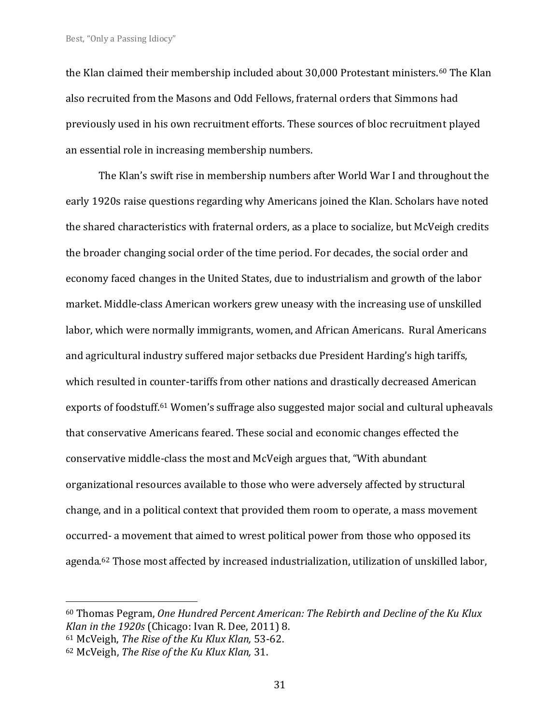the Klan claimed their membership included about 30,000 Protestant ministers.<sup>60</sup> The Klan also recruited from the Masons and Odd Fellows, fraternal orders that Simmons had previously used in his own recruitment efforts. These sources of bloc recruitment played an essential role in increasing membership numbers.

The Klan's swift rise in membership numbers after World War I and throughout the early 1920s raise questions regarding why Americans joined the Klan. Scholars have noted the shared characteristics with fraternal orders, as a place to socialize, but McVeigh credits the broader changing social order of the time period. For decades, the social order and economy faced changes in the United States, due to industrialism and growth of the labor market. Middle-class American workers grew uneasy with the increasing use of unskilled labor, which were normally immigrants, women, and African Americans. Rural Americans and agricultural industry suffered major setbacks due President Harding's high tariffs, which resulted in counter-tariffs from other nations and drastically decreased American exports of foodstuff.<sup>61</sup> Women's suffrage also suggested major social and cultural upheavals that conservative Americans feared. These social and economic changes effected the conservative middle-class the most and McVeigh argues that, "With abundant organizational resources available to those who were adversely affected by structural change, and in a political context that provided them room to operate, a mass movement occurred- a movement that aimed to wrest political power from those who opposed its agenda.<sup>62</sup> Those most affected by increased industrialization, utilization of unskilled labor,

<sup>60</sup> Thomas Pegram, *One Hundred Percent American: The Rebirth and Decline of the Ku Klux Klan in the 1920s* (Chicago: Ivan R. Dee, 2011) 8.

<sup>61</sup> McVeigh, *The Rise of the Ku Klux Klan,* 53-62.

<sup>62</sup> McVeigh, *The Rise of the Ku Klux Klan,* 31.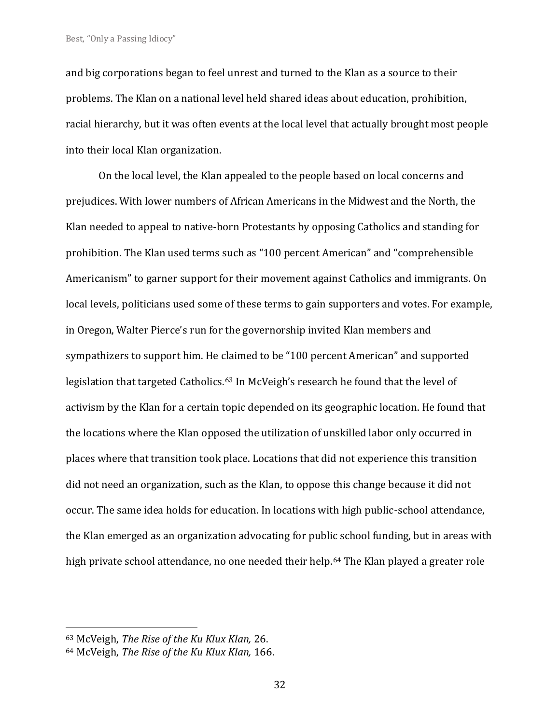and big corporations began to feel unrest and turned to the Klan as a source to their problems. The Klan on a national level held shared ideas about education, prohibition, racial hierarchy, but it was often events at the local level that actually brought most people into their local Klan organization.

On the local level, the Klan appealed to the people based on local concerns and prejudices. With lower numbers of African Americans in the Midwest and the North, the Klan needed to appeal to native-born Protestants by opposing Catholics and standing for prohibition. The Klan used terms such as "100 percent American" and "comprehensible Americanism" to garner support for their movement against Catholics and immigrants. On local levels, politicians used some of these terms to gain supporters and votes. For example, in Oregon, Walter Pierce's run for the governorship invited Klan members and sympathizers to support him. He claimed to be "100 percent American" and supported legislation that targeted Catholics.<sup>63</sup> In McVeigh's research he found that the level of activism by the Klan for a certain topic depended on its geographic location. He found that the locations where the Klan opposed the utilization of unskilled labor only occurred in places where that transition took place. Locations that did not experience this transition did not need an organization, such as the Klan, to oppose this change because it did not occur. The same idea holds for education. In locations with high public-school attendance, the Klan emerged as an organization advocating for public school funding, but in areas with high private school attendance, no one needed their help.<sup>64</sup> The Klan played a greater role

<sup>63</sup> McVeigh, *The Rise of the Ku Klux Klan,* 26.

<sup>64</sup> McVeigh, *The Rise of the Ku Klux Klan,* 166.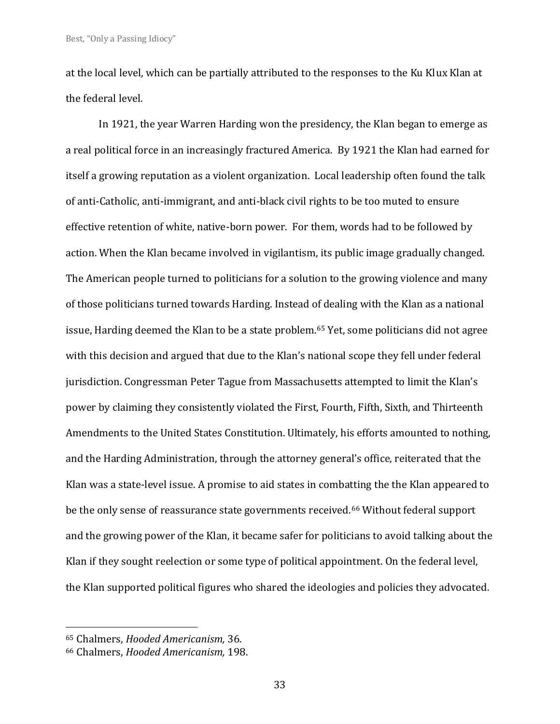at the local level, which can be partially attributed to the responses to the Ku Klux Klan at the federal level.

In 1921, the year Warren Harding won the presidency, the Klan began to emerge as a real political force in an increasingly fractured America. By 1921 the Klan had earned for itself a growing reputation as a violent organization. Local leadership often found the talk of anti-Catholic, anti-immigrant, and anti-black civil rights to be too muted to ensure effective retention of white, native-born power. For them, words had to be followed by action. When the Klan became involved in vigilantism, its public image gradually changed. The American people turned to politicians for a solution to the growing violence and many of those politicians turned towards Harding. Instead of dealing with the Klan as a national issue, Harding deemed the Klan to be a state problem.<sup>65</sup> Yet, some politicians did not agree with this decision and argued that due to the Klan's national scope they fell under federal jurisdiction. Congressman Peter Tague from Massachusetts attempted to limit the Klan's power by claiming they consistently violated the First, Fourth, Fifth, Sixth, and Thirteenth Amendments to the United States Constitution. Ultimately, his efforts amounted to nothing, and the Harding Administration, through the attorney general's office, reiterated that the Klan was a state-level issue. A promise to aid states in combatting the the Klan appeared to be the only sense of reassurance state governments received.<sup>66</sup> Without federal support and the growing power of the Klan, it became safer for politicians to avoid talking about the Klan if they sought reelection or some type of political appointment. On the federal level, the Klan supported political figures who shared the ideologies and policies they advocated.

<sup>65</sup> Chalmers, *Hooded Americanism,* 36.

<sup>66</sup> Chalmers, *Hooded Americanism,* 198.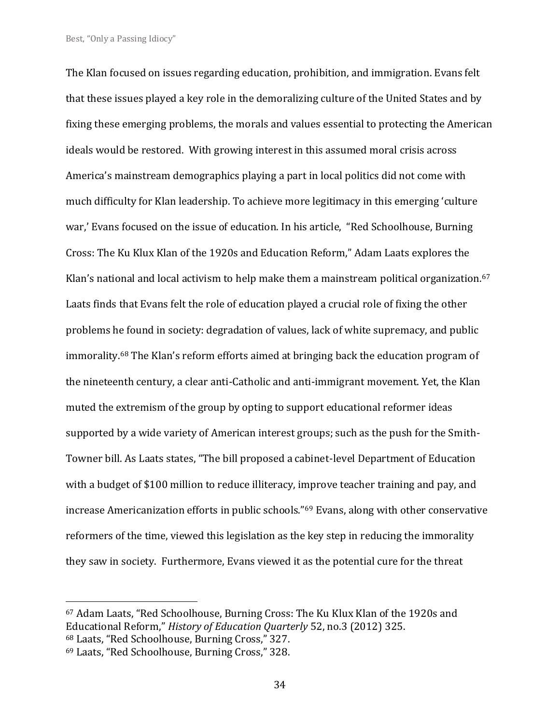The Klan focused on issues regarding education, prohibition, and immigration. Evans felt that these issues played a key role in the demoralizing culture of the United States and by fixing these emerging problems, the morals and values essential to protecting the American ideals would be restored. With growing interest in this assumed moral crisis across America's mainstream demographics playing a part in local politics did not come with much difficulty for Klan leadership. To achieve more legitimacy in this emerging 'culture war,' Evans focused on the issue of education. In his article, "Red Schoolhouse, Burning Cross: The Ku Klux Klan of the 1920s and Education Reform," Adam Laats explores the Klan's national and local activism to help make them a mainstream political organization.<sup>67</sup> Laats finds that Evans felt the role of education played a crucial role of fixing the other problems he found in society: degradation of values, lack of white supremacy, and public immorality.<sup>68</sup> The Klan's reform efforts aimed at bringing back the education program of the nineteenth century, a clear anti-Catholic and anti-immigrant movement. Yet, the Klan muted the extremism of the group by opting to support educational reformer ideas supported by a wide variety of American interest groups; such as the push for the Smith-Towner bill. As Laats states, "The bill proposed a cabinet-level Department of Education with a budget of \$100 million to reduce illiteracy, improve teacher training and pay, and increase Americanization efforts in public schools."<sup>69</sup> Evans, along with other conservative reformers of the time, viewed this legislation as the key step in reducing the immorality they saw in society. Furthermore, Evans viewed it as the potential cure for the threat

<sup>67</sup> Adam Laats, "Red Schoolhouse, Burning Cross: The Ku Klux Klan of the 1920s and Educational Reform," *History of Education Quarterly* 52, no.3 (2012) 325. <sup>68</sup> Laats, "Red Schoolhouse, Burning Cross," 327.

<sup>69</sup> Laats, "Red Schoolhouse, Burning Cross," 328.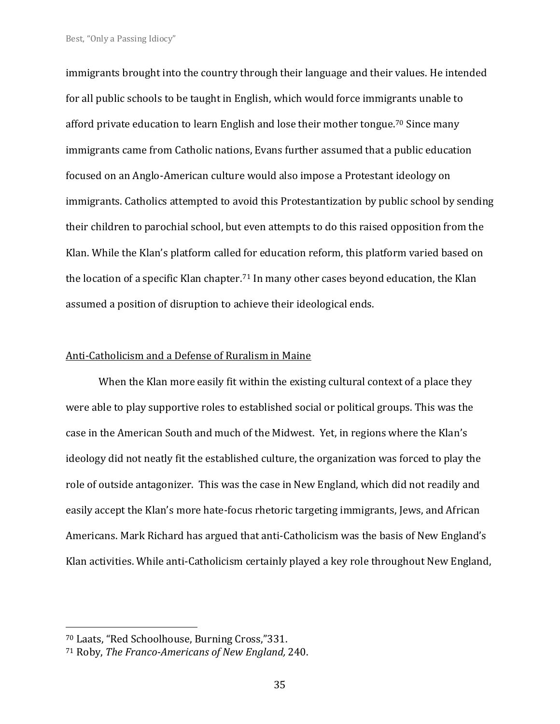immigrants brought into the country through their language and their values. He intended for all public schools to be taught in English, which would force immigrants unable to afford private education to learn English and lose their mother tongue.<sup>70</sup> Since many immigrants came from Catholic nations, Evans further assumed that a public education focused on an Anglo-American culture would also impose a Protestant ideology on immigrants. Catholics attempted to avoid this Protestantization by public school by sending their children to parochial school, but even attempts to do this raised opposition from the Klan. While the Klan's platform called for education reform, this platform varied based on the location of a specific Klan chapter. <sup>71</sup> In many other cases beyond education, the Klan assumed a position of disruption to achieve their ideological ends.

#### Anti-Catholicism and a Defense of Ruralism in Maine

When the Klan more easily fit within the existing cultural context of a place they were able to play supportive roles to established social or political groups. This was the case in the American South and much of the Midwest. Yet, in regions where the Klan's ideology did not neatly fit the established culture, the organization was forced to play the role of outside antagonizer. This was the case in New England, which did not readily and easily accept the Klan's more hate-focus rhetoric targeting immigrants, Jews, and African Americans. Mark Richard has argued that anti-Catholicism was the basis of New England's Klan activities. While anti-Catholicism certainly played a key role throughout New England,

<sup>70</sup> Laats, "Red Schoolhouse, Burning Cross,"331.

<sup>71</sup> Roby, *The Franco-Americans of New England,* 240.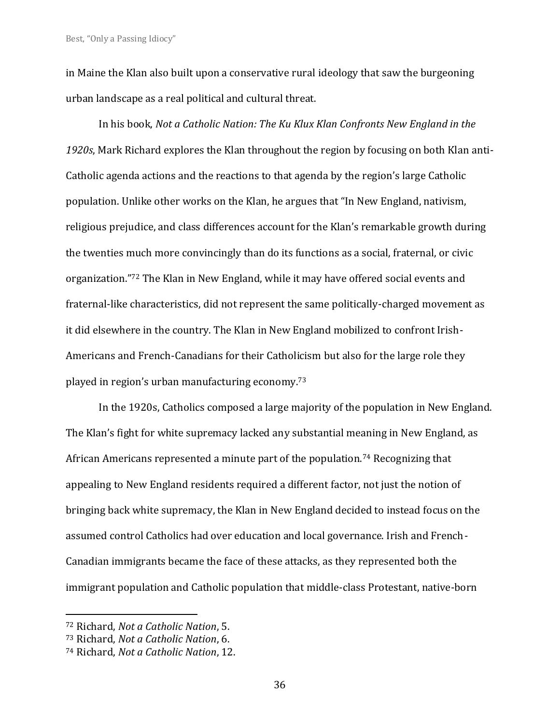in Maine the Klan also built upon a conservative rural ideology that saw the burgeoning urban landscape as a real political and cultural threat.

In his book, *Not a Catholic Nation: The Ku Klux Klan Confronts New England in the 1920s*, Mark Richard explores the Klan throughout the region by focusing on both Klan anti-Catholic agenda actions and the reactions to that agenda by the region's large Catholic population. Unlike other works on the Klan, he argues that "In New England, nativism, religious prejudice, and class differences account for the Klan's remarkable growth during the twenties much more convincingly than do its functions as a social, fraternal, or civic organization."<sup>72</sup> The Klan in New England, while it may have offered social events and fraternal-like characteristics, did not represent the same politically-charged movement as it did elsewhere in the country. The Klan in New England mobilized to confront Irish-Americans and French-Canadians for their Catholicism but also for the large role they played in region's urban manufacturing economy. 73

In the 1920s, Catholics composed a large majority of the population in New England. The Klan's fight for white supremacy lacked any substantial meaning in New England, as African Americans represented a minute part of the population.<sup>74</sup> Recognizing that appealing to New England residents required a different factor, not just the notion of bringing back white supremacy, the Klan in New England decided to instead focus on the assumed control Catholics had over education and local governance. Irish and French-Canadian immigrants became the face of these attacks, as they represented both the immigrant population and Catholic population that middle-class Protestant, native-born

<sup>72</sup> Richard, *Not a Catholic Nation*, 5.

<sup>73</sup> Richard, *Not a Catholic Nation*, 6.

<sup>74</sup> Richard, *Not a Catholic Nation*, 12.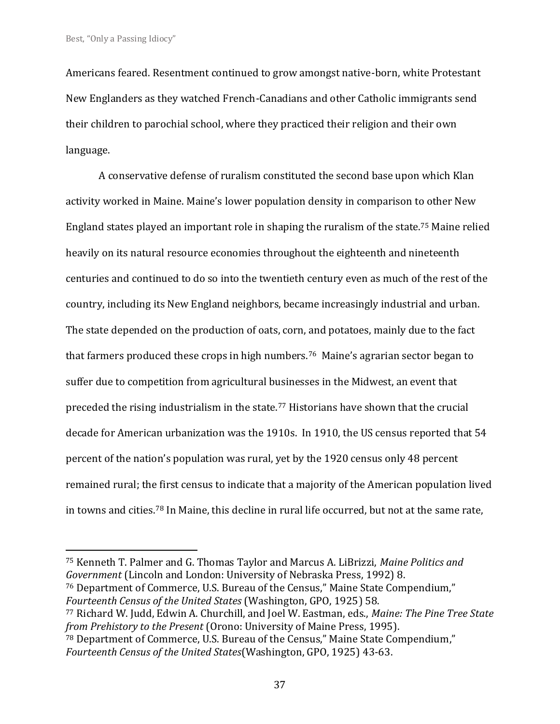Americans feared. Resentment continued to grow amongst native-born, white Protestant New Englanders as they watched French-Canadians and other Catholic immigrants send their children to parochial school, where they practiced their religion and their own language.

A conservative defense of ruralism constituted the second base upon which Klan activity worked in Maine. Maine's lower population density in comparison to other New England states played an important role in shaping the ruralism of the state.<sup>75</sup> Maine relied heavily on its natural resource economies throughout the eighteenth and nineteenth centuries and continued to do so into the twentieth century even as much of the rest of the country, including its New England neighbors, became increasingly industrial and urban. The state depended on the production of oats, corn, and potatoes, mainly due to the fact that farmers produced these crops in high numbers.<sup>76</sup> Maine's agrarian sector began to suffer due to competition from agricultural businesses in the Midwest, an event that preceded the rising industrialism in the state.<sup>77</sup> Historians have shown that the crucial decade for American urbanization was the 1910s. In 1910, the US census reported that 54 percent of the nation's population was rural, yet by the 1920 census only 48 percent remained rural; the first census to indicate that a majority of the American population lived in towns and cities.<sup>78</sup> In Maine, this decline in rural life occurred, but not at the same rate,

<sup>75</sup> Kenneth T. Palmer and G. Thomas Taylor and Marcus A. LiBrizzi, *Maine Politics and Government* (Lincoln and London: University of Nebraska Press, 1992) 8.

<sup>76</sup> Department of Commerce, U.S. Bureau of the Census," Maine State Compendium," *Fourteenth Census of the United States* (Washington, GPO, 1925) 58.

<sup>77</sup> Richard W. Judd, Edwin A. Churchill, and Joel W. Eastman, eds., *Maine: The Pine Tree State from Prehistory to the Present* (Orono: University of Maine Press, 1995).

<sup>78</sup> Department of Commerce, U.S. Bureau of the Census," Maine State Compendium," *Fourteenth Census of the United States*(Washington, GPO, 1925) 43-63.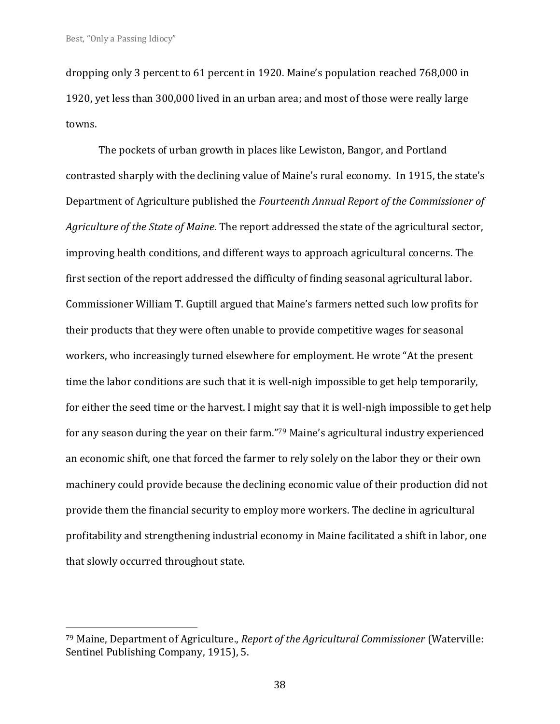dropping only 3 percent to 61 percent in 1920. Maine's population reached 768,000 in 1920, yet less than 300,000 lived in an urban area; and most of those were really large towns.

The pockets of urban growth in places like Lewiston, Bangor, and Portland contrasted sharply with the declining value of Maine's rural economy. In 1915, the state's Department of Agriculture published the *Fourteenth Annual Report of the Commissioner of Agriculture of the State of Maine*. The report addressed the state of the agricultural sector, improving health conditions, and different ways to approach agricultural concerns. The first section of the report addressed the difficulty of finding seasonal agricultural labor. Commissioner William T. Guptill argued that Maine's farmers netted such low profits for their products that they were often unable to provide competitive wages for seasonal workers, who increasingly turned elsewhere for employment. He wrote "At the present time the labor conditions are such that it is well-nigh impossible to get help temporarily, for either the seed time or the harvest. I might say that it is well-nigh impossible to get help for any season during the year on their farm." <sup>79</sup> Maine's agricultural industry experienced an economic shift, one that forced the farmer to rely solely on the labor they or their own machinery could provide because the declining economic value of their production did not provide them the financial security to employ more workers. The decline in agricultural profitability and strengthening industrial economy in Maine facilitated a shift in labor, one that slowly occurred throughout state.

<sup>79</sup> Maine, Department of Agriculture., *Report of the Agricultural Commissioner* (Waterville: Sentinel Publishing Company, 1915), 5.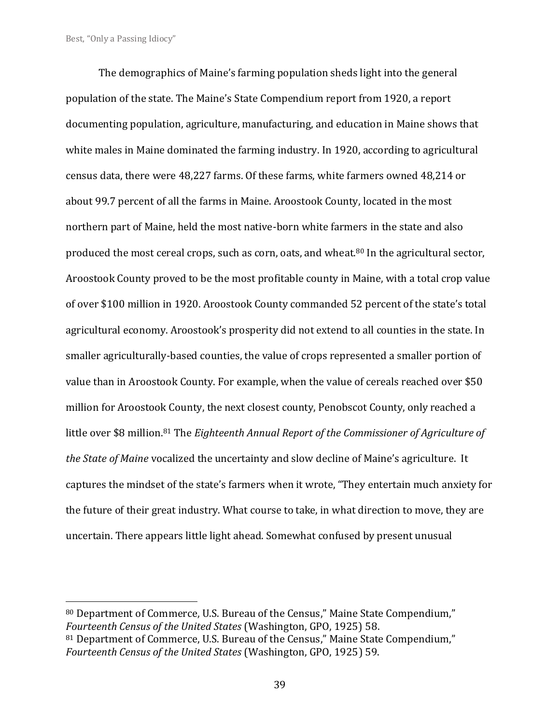The demographics of Maine's farming population sheds light into the general population of the state. The Maine's State Compendium report from 1920, a report documenting population, agriculture, manufacturing, and education in Maine shows that white males in Maine dominated the farming industry. In 1920, according to agricultural census data, there were 48,227 farms. Of these farms, white farmers owned 48,214 or about 99.7 percent of all the farms in Maine. Aroostook County, located in the most northern part of Maine, held the most native-born white farmers in the state and also produced the most cereal crops, such as corn, oats, and wheat.<sup>80</sup> In the agricultural sector, Aroostook County proved to be the most profitable county in Maine, with a total crop value of over \$100 million in 1920. Aroostook County commanded 52 percent of the state's total agricultural economy. Aroostook's prosperity did not extend to all counties in the state. In smaller agriculturally-based counties, the value of crops represented a smaller portion of value than in Aroostook County. For example, when the value of cereals reached over \$50 million for Aroostook County, the next closest county, Penobscot County, only reached a little over \$8 million.<sup>81</sup> The *Eighteenth Annual Report of the Commissioner of Agriculture of the State of Maine* vocalized the uncertainty and slow decline of Maine's agriculture. It captures the mindset of the state's farmers when it wrote, "They entertain much anxiety for the future of their great industry. What course to take, in what direction to move, they are uncertain. There appears little light ahead. Somewhat confused by present unusual

<sup>80</sup> Department of Commerce, U.S. Bureau of the Census," Maine State Compendium," *Fourteenth Census of the United States* (Washington, GPO, 1925) 58.

<sup>81</sup> Department of Commerce, U.S. Bureau of the Census," Maine State Compendium," *Fourteenth Census of the United States* (Washington, GPO, 1925) 59.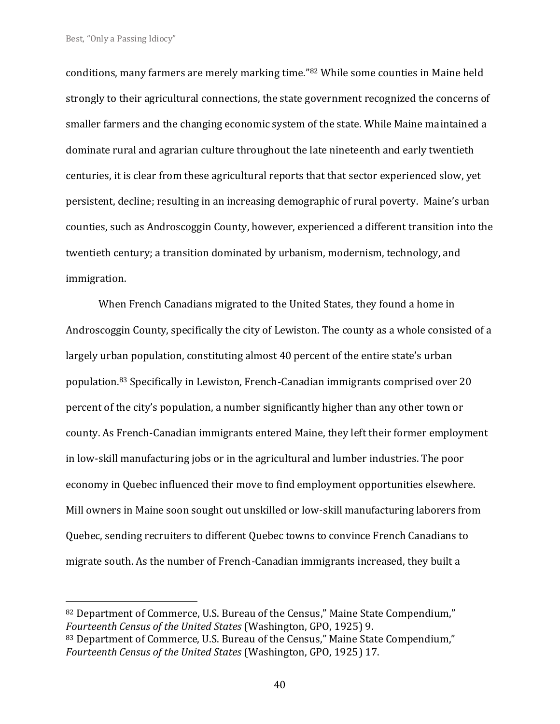conditions, many farmers are merely marking time."<sup>82</sup> While some counties in Maine held strongly to their agricultural connections, the state government recognized the concerns of smaller farmers and the changing economic system of the state. While Maine maintained a dominate rural and agrarian culture throughout the late nineteenth and early twentieth centuries, it is clear from these agricultural reports that that sector experienced slow, yet persistent, decline; resulting in an increasing demographic of rural poverty. Maine's urban counties, such as Androscoggin County, however, experienced a different transition into the twentieth century; a transition dominated by urbanism, modernism, technology, and immigration.

When French Canadians migrated to the United States, they found a home in Androscoggin County, specifically the city of Lewiston. The county as a whole consisted of a largely urban population, constituting almost 40 percent of the entire state's urban population.<sup>83</sup> Specifically in Lewiston, French-Canadian immigrants comprised over 20 percent of the city's population, a number significantly higher than any other town or county. As French-Canadian immigrants entered Maine, they left their former employment in low-skill manufacturing jobs or in the agricultural and lumber industries. The poor economy in Quebec influenced their move to find employment opportunities elsewhere. Mill owners in Maine soon sought out unskilled or low-skill manufacturing laborers from Quebec, sending recruiters to different Quebec towns to convince French Canadians to migrate south. As the number of French-Canadian immigrants increased, they built a

<sup>82</sup> Department of Commerce, U.S. Bureau of the Census," Maine State Compendium," *Fourteenth Census of the United States* (Washington, GPO, 1925) 9.

<sup>83</sup> Department of Commerce, U.S. Bureau of the Census," Maine State Compendium," *Fourteenth Census of the United States* (Washington, GPO, 1925) 17.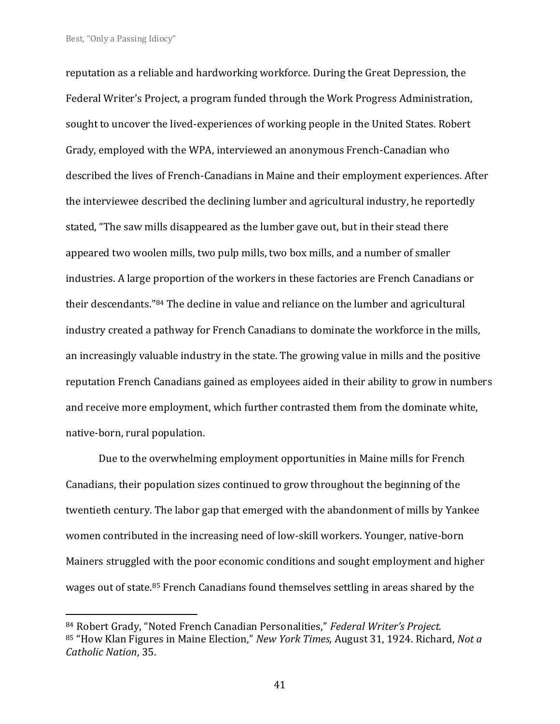reputation as a reliable and hardworking workforce. During the Great Depression, the Federal Writer's Project, a program funded through the Work Progress Administration, sought to uncover the lived-experiences of working people in the United States. Robert Grady, employed with the WPA, interviewed an anonymous French-Canadian who described the lives of French-Canadians in Maine and their employment experiences. After the interviewee described the declining lumber and agricultural industry, he reportedly stated, "The saw mills disappeared as the lumber gave out, but in their stead there appeared two woolen mills, two pulp mills, two box mills, and a number of smaller industries. A large proportion of the workers in these factories are French Canadians or their descendants."<sup>84</sup> The decline in value and reliance on the lumber and agricultural industry created a pathway for French Canadians to dominate the workforce in the mills, an increasingly valuable industry in the state. The growing value in mills and the positive reputation French Canadians gained as employees aided in their ability to grow in numbers and receive more employment, which further contrasted them from the dominate white, native-born, rural population.

Due to the overwhelming employment opportunities in Maine mills for French Canadians, their population sizes continued to grow throughout the beginning of the twentieth century. The labor gap that emerged with the abandonment of mills by Yankee women contributed in the increasing need of low-skill workers. Younger, native-born Mainers struggled with the poor economic conditions and sought employment and higher wages out of state.<sup>85</sup> French Canadians found themselves settling in areas shared by the

<sup>84</sup> Robert Grady, "Noted French Canadian Personalities," *Federal Writer's Project.* <sup>85</sup> "How Klan Figures in Maine Election," *New York Times,* August 31, 1924. Richard, *Not a Catholic Nation*, 35.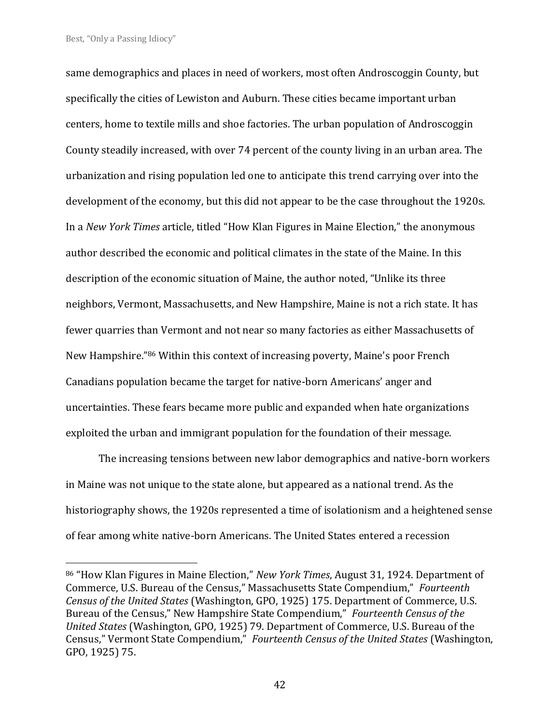same demographics and places in need of workers, most often Androscoggin County, but specifically the cities of Lewiston and Auburn. These cities became important urban centers, home to textile mills and shoe factories. The urban population of Androscoggin County steadily increased, with over 74 percent of the county living in an urban area. The urbanization and rising population led one to anticipate this trend carrying over into the development of the economy, but this did not appear to be the case throughout the 1920s. In a *New York Times* article, titled "How Klan Figures in Maine Election," the anonymous author described the economic and political climates in the state of the Maine. In this description of the economic situation of Maine, the author noted, "Unlike its three neighbors, Vermont, Massachusetts, and New Hampshire, Maine is not a rich state. It has fewer quarries than Vermont and not near so many factories as either Massachusetts of New Hampshire."<sup>86</sup> Within this context of increasing poverty, Maine's poor French Canadians population became the target for native-born Americans' anger and uncertainties. These fears became more public and expanded when hate organizations exploited the urban and immigrant population for the foundation of their message.

The increasing tensions between new labor demographics and native-born workers in Maine was not unique to the state alone, but appeared as a national trend. As the historiography shows, the 1920s represented a time of isolationism and a heightened sense of fear among white native-born Americans. The United States entered a recession

<sup>86</sup> "How Klan Figures in Maine Election," *New York Times*, August 31, 1924. Department of Commerce, U.S. Bureau of the Census," Massachusetts State Compendium," *Fourteenth Census of the United States* (Washington, GPO, 1925) 175. Department of Commerce, U.S. Bureau of the Census," New Hampshire State Compendium," *Fourteenth Census of the United States* (Washington, GPO, 1925) 79. Department of Commerce, U.S. Bureau of the Census," Vermont State Compendium," *Fourteenth Census of the United States* (Washington, GPO, 1925) 75.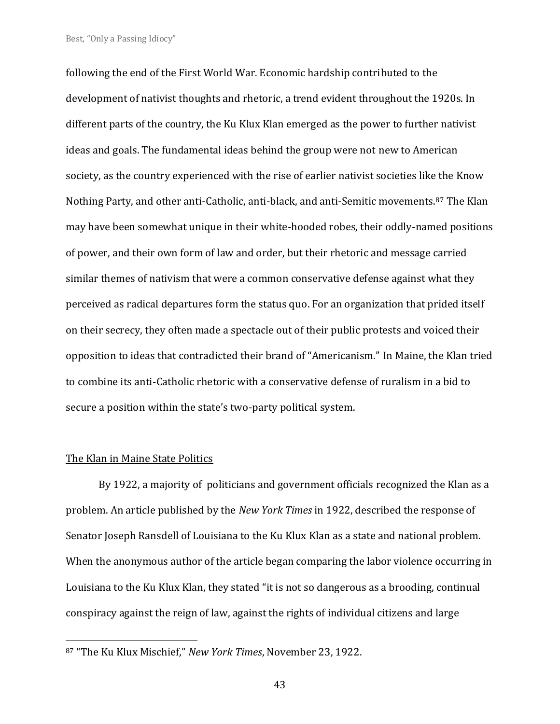following the end of the First World War. Economic hardship contributed to the development of nativist thoughts and rhetoric, a trend evident throughout the 1920s. In different parts of the country, the Ku Klux Klan emerged as the power to further nativist ideas and goals. The fundamental ideas behind the group were not new to American society, as the country experienced with the rise of earlier nativist societies like the Know Nothing Party, and other anti-Catholic, anti-black, and anti-Semitic movements.<sup>87</sup> The Klan may have been somewhat unique in their white-hooded robes, their oddly-named positions of power, and their own form of law and order, but their rhetoric and message carried similar themes of nativism that were a common conservative defense against what they perceived as radical departures form the status quo. For an organization that prided itself on their secrecy, they often made a spectacle out of their public protests and voiced their opposition to ideas that contradicted their brand of "Americanism." In Maine, the Klan tried to combine its anti-Catholic rhetoric with a conservative defense of ruralism in a bid to secure a position within the state's two-party political system.

#### The Klan in Maine State Politics

By 1922, a majority of politicians and government officials recognized the Klan as a problem. An article published by the *New York Times* in 1922, described the response of Senator Joseph Ransdell of Louisiana to the Ku Klux Klan as a state and national problem. When the anonymous author of the article began comparing the labor violence occurring in Louisiana to the Ku Klux Klan, they stated "it is not so dangerous as a brooding, continual conspiracy against the reign of law, against the rights of individual citizens and large

<sup>87</sup> "The Ku Klux Mischief," *New York Times*, November 23, 1922.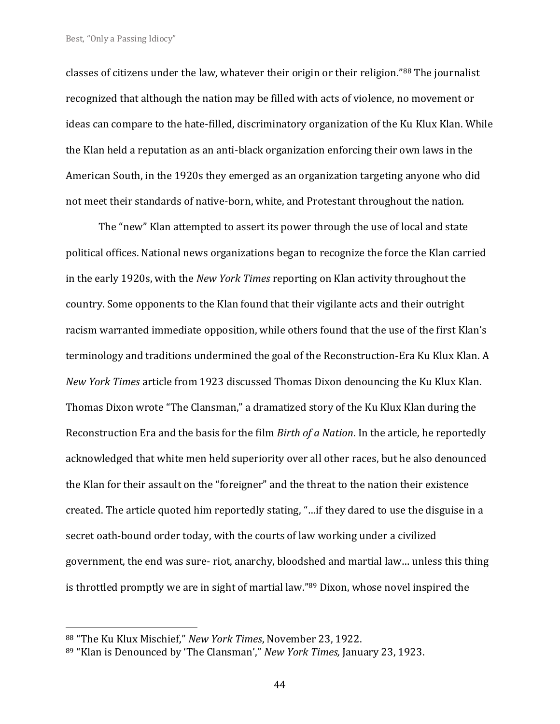classes of citizens under the law, whatever their origin or their religion."<sup>88</sup> The journalist recognized that although the nation may be filled with acts of violence, no movement or ideas can compare to the hate-filled, discriminatory organization of the Ku Klux Klan. While the Klan held a reputation as an anti-black organization enforcing their own laws in the American South, in the 1920s they emerged as an organization targeting anyone who did not meet their standards of native-born, white, and Protestant throughout the nation.

The "new" Klan attempted to assert its power through the use of local and state political offices. National news organizations began to recognize the force the Klan carried in the early 1920s, with the *New York Times* reporting on Klan activity throughout the country. Some opponents to the Klan found that their vigilante acts and their outright racism warranted immediate opposition, while others found that the use of the first Klan's terminology and traditions undermined the goal of the Reconstruction-Era Ku Klux Klan. A *New York Times* article from 1923 discussed Thomas Dixon denouncing the Ku Klux Klan. Thomas Dixon wrote "The Clansman," a dramatized story of the Ku Klux Klan during the Reconstruction Era and the basis for the film *Birth of a Nation*. In the article, he reportedly acknowledged that white men held superiority over all other races, but he also denounced the Klan for their assault on the "foreigner" and the threat to the nation their existence created. The article quoted him reportedly stating, "…if they dared to use the disguise in a secret oath-bound order today, with the courts of law working under a civilized government, the end was sure- riot, anarchy, bloodshed and martial law… unless this thing is throttled promptly we are in sight of martial law."<sup>89</sup> Dixon, whose novel inspired the

<sup>88</sup> "The Ku Klux Mischief," *New York Times*, November 23, 1922.

<sup>89</sup> "Klan is Denounced by 'The Clansman'," *New York Times,* January 23, 1923.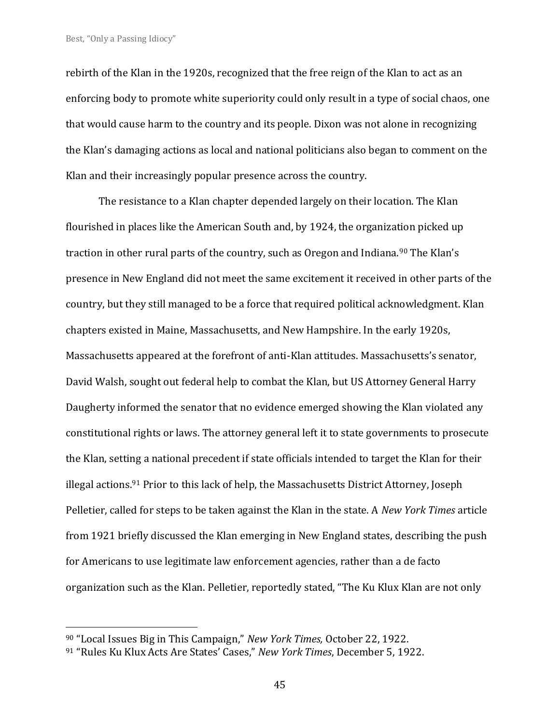rebirth of the Klan in the 1920s, recognized that the free reign of the Klan to act as an enforcing body to promote white superiority could only result in a type of social chaos, one that would cause harm to the country and its people. Dixon was not alone in recognizing the Klan's damaging actions as local and national politicians also began to comment on the Klan and their increasingly popular presence across the country.

The resistance to a Klan chapter depended largely on their location. The Klan flourished in places like the American South and, by 1924, the organization picked up traction in other rural parts of the country, such as Oregon and Indiana.<sup>90</sup> The Klan's presence in New England did not meet the same excitement it received in other parts of the country, but they still managed to be a force that required political acknowledgment. Klan chapters existed in Maine, Massachusetts, and New Hampshire. In the early 1920s, Massachusetts appeared at the forefront of anti-Klan attitudes. Massachusetts's senator, David Walsh, sought out federal help to combat the Klan, but US Attorney General Harry Daugherty informed the senator that no evidence emerged showing the Klan violated any constitutional rights or laws. The attorney general left it to state governments to prosecute the Klan, setting a national precedent if state officials intended to target the Klan for their illegal actions.<sup>91</sup> Prior to this lack of help, the Massachusetts District Attorney, Joseph Pelletier, called for steps to be taken against the Klan in the state. A *New York Times* article from 1921 briefly discussed the Klan emerging in New England states, describing the push for Americans to use legitimate law enforcement agencies, rather than a de facto organization such as the Klan. Pelletier, reportedly stated, "The Ku Klux Klan are not only

<sup>90</sup> "Local Issues Big in This Campaign," *New York Times,* October 22, 1922.

<sup>91</sup> "Rules Ku Klux Acts Are States' Cases," *New York Times*, December 5, 1922.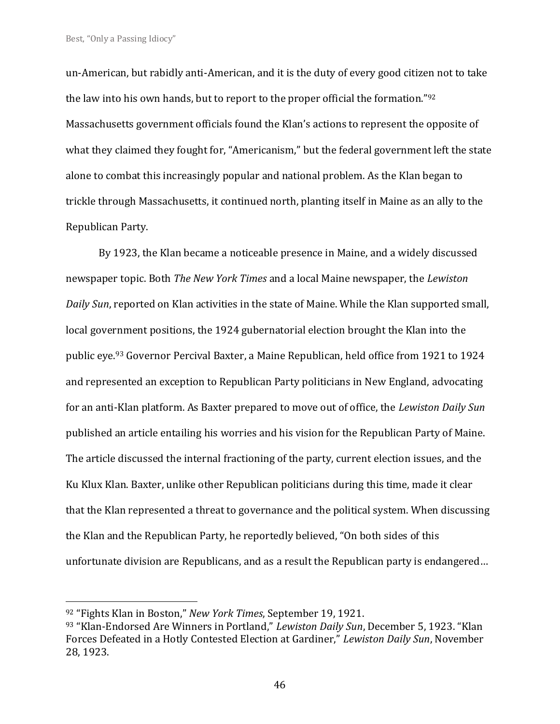un-American, but rabidly anti-American, and it is the duty of every good citizen not to take the law into his own hands, but to report to the proper official the formation."<sup>92</sup> Massachusetts government officials found the Klan's actions to represent the opposite of what they claimed they fought for, "Americanism," but the federal government left the state alone to combat this increasingly popular and national problem. As the Klan began to trickle through Massachusetts, it continued north, planting itself in Maine as an ally to the Republican Party.

By 1923, the Klan became a noticeable presence in Maine, and a widely discussed newspaper topic. Both *The New York Times* and a local Maine newspaper, the *Lewiston Daily Sun*, reported on Klan activities in the state of Maine. While the Klan supported small, local government positions, the 1924 gubernatorial election brought the Klan into the public eye.<sup>93</sup> Governor Percival Baxter, a Maine Republican, held office from 1921 to 1924 and represented an exception to Republican Party politicians in New England, advocating for an anti-Klan platform. As Baxter prepared to move out of office, the *Lewiston Daily Sun*  published an article entailing his worries and his vision for the Republican Party of Maine. The article discussed the internal fractioning of the party, current election issues, and the Ku Klux Klan. Baxter, unlike other Republican politicians during this time, made it clear that the Klan represented a threat to governance and the political system. When discussing the Klan and the Republican Party, he reportedly believed, "On both sides of this unfortunate division are Republicans, and as a result the Republican party is endangered…

<sup>92</sup> "Fights Klan in Boston," *New York Times*, September 19, 1921.

<sup>93</sup> "Klan-Endorsed Are Winners in Portland," *Lewiston Daily Sun*, December 5, 1923. "Klan Forces Defeated in a Hotly Contested Election at Gardiner," *Lewiston Daily Sun*, November 28, 1923.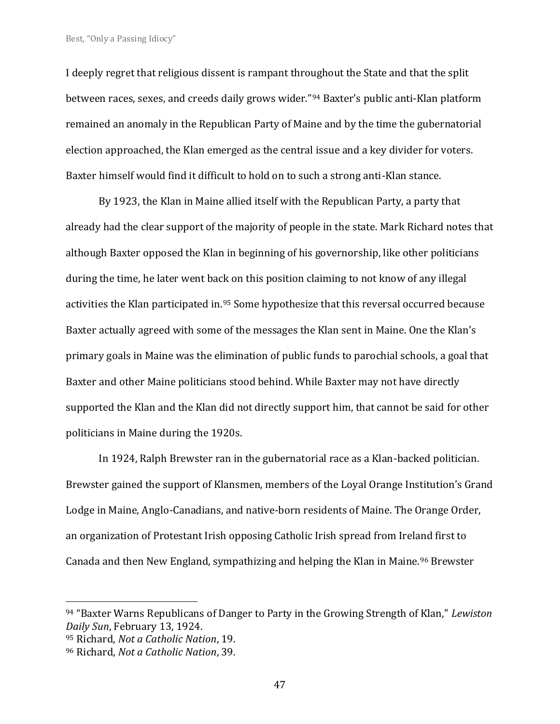I deeply regret that religious dissent is rampant throughout the State and that the split between races, sexes, and creeds daily grows wider."<sup>94</sup> Baxter's public anti-Klan platform remained an anomaly in the Republican Party of Maine and by the time the gubernatorial election approached, the Klan emerged as the central issue and a key divider for voters. Baxter himself would find it difficult to hold on to such a strong anti-Klan stance.

By 1923, the Klan in Maine allied itself with the Republican Party, a party that already had the clear support of the majority of people in the state. Mark Richard notes that although Baxter opposed the Klan in beginning of his governorship, like other politicians during the time, he later went back on this position claiming to not know of any illegal activities the Klan participated in.<sup>95</sup> Some hypothesize that this reversal occurred because Baxter actually agreed with some of the messages the Klan sent in Maine. One the Klan's primary goals in Maine was the elimination of public funds to parochial schools, a goal that Baxter and other Maine politicians stood behind. While Baxter may not have directly supported the Klan and the Klan did not directly support him, that cannot be said for other politicians in Maine during the 1920s.

In 1924, Ralph Brewster ran in the gubernatorial race as a Klan-backed politician. Brewster gained the support of Klansmen, members of the Loyal Orange Institution's Grand Lodge in Maine, Anglo-Canadians, and native-born residents of Maine. The Orange Order, an organization of Protestant Irish opposing Catholic Irish spread from Ireland first to Canada and then New England, sympathizing and helping the Klan in Maine.<sup>96</sup> Brewster

<sup>94</sup> "Baxter Warns Republicans of Danger to Party in the Growing Strength of Klan," *Lewiston Daily Sun*, February 13, 1924.

<sup>95</sup> Richard, *Not a Catholic Nation*, 19.

<sup>96</sup> Richard, *Not a Catholic Nation*, 39.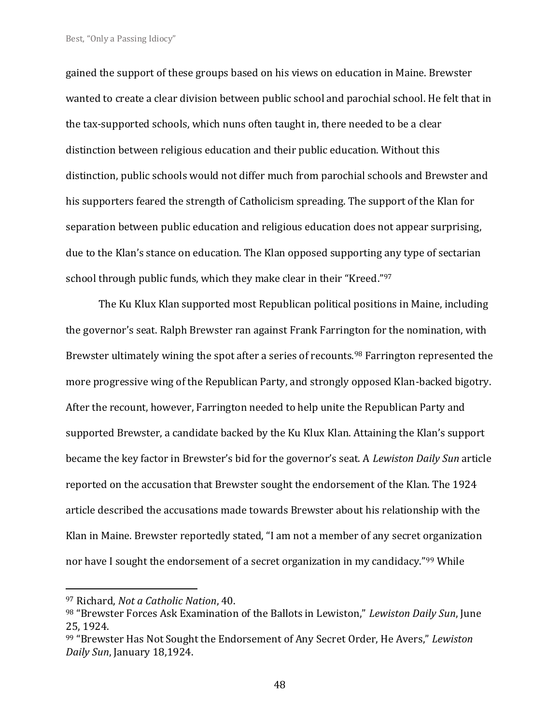gained the support of these groups based on his views on education in Maine. Brewster wanted to create a clear division between public school and parochial school. He felt that in the tax-supported schools, which nuns often taught in, there needed to be a clear distinction between religious education and their public education. Without this distinction, public schools would not differ much from parochial schools and Brewster and his supporters feared the strength of Catholicism spreading. The support of the Klan for separation between public education and religious education does not appear surprising, due to the Klan's stance on education. The Klan opposed supporting any type of sectarian school through public funds, which they make clear in their "Kreed."<sup>97</sup>

The Ku Klux Klan supported most Republican political positions in Maine, including the governor's seat. Ralph Brewster ran against Frank Farrington for the nomination, with Brewster ultimately wining the spot after a series of recounts.<sup>98</sup> Farrington represented the more progressive wing of the Republican Party, and strongly opposed Klan-backed bigotry. After the recount, however, Farrington needed to help unite the Republican Party and supported Brewster, a candidate backed by the Ku Klux Klan. Attaining the Klan's support became the key factor in Brewster's bid for the governor's seat. A *Lewiston Daily Sun* article reported on the accusation that Brewster sought the endorsement of the Klan. The 1924 article described the accusations made towards Brewster about his relationship with the Klan in Maine. Brewster reportedly stated, "I am not a member of any secret organization nor have I sought the endorsement of a secret organization in my candidacy."<sup>99</sup> While

<sup>97</sup> Richard, *Not a Catholic Nation*, 40.

<sup>98</sup> "Brewster Forces Ask Examination of the Ballots in Lewiston," *Lewiston Daily Sun*, June 25, 1924.

<sup>99</sup> "Brewster Has Not Sought the Endorsement of Any Secret Order, He Avers," *Lewiston Daily Sun*, January 18,1924.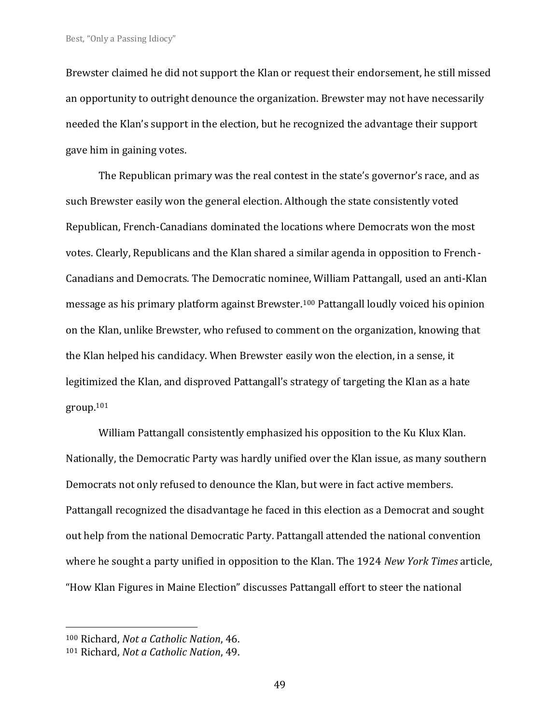Brewster claimed he did not support the Klan or request their endorsement, he still missed an opportunity to outright denounce the organization. Brewster may not have necessarily needed the Klan's support in the election, but he recognized the advantage their support gave him in gaining votes.

The Republican primary was the real contest in the state's governor's race, and as such Brewster easily won the general election. Although the state consistently voted Republican, French-Canadians dominated the locations where Democrats won the most votes. Clearly, Republicans and the Klan shared a similar agenda in opposition to French-Canadians and Democrats. The Democratic nominee, William Pattangall, used an anti-Klan message as his primary platform against Brewster.<sup>100</sup> Pattangall loudly voiced his opinion on the Klan, unlike Brewster, who refused to comment on the organization, knowing that the Klan helped his candidacy. When Brewster easily won the election, in a sense, it legitimized the Klan, and disproved Pattangall's strategy of targeting the Klan as a hate group. 101

William Pattangall consistently emphasized his opposition to the Ku Klux Klan. Nationally, the Democratic Party was hardly unified over the Klan issue, as many southern Democrats not only refused to denounce the Klan, but were in fact active members. Pattangall recognized the disadvantage he faced in this election as a Democrat and sought out help from the national Democratic Party. Pattangall attended the national convention where he sought a party unified in opposition to the Klan. The 1924 *New York Times* article, "How Klan Figures in Maine Election" discusses Pattangall effort to steer the national

<sup>100</sup> Richard, *Not a Catholic Nation*, 46.

<sup>101</sup> Richard, *Not a Catholic Nation*, 49.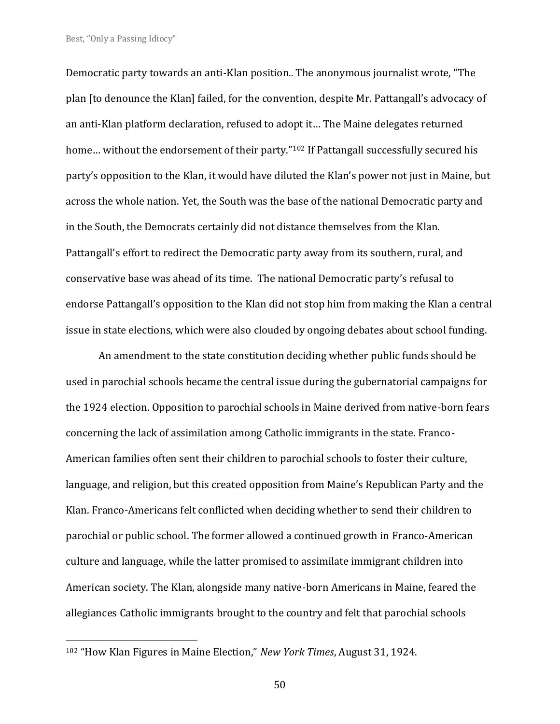Democratic party towards an anti-Klan position.. The anonymous journalist wrote, "The plan [to denounce the Klan] failed, for the convention, despite Mr. Pattangall's advocacy of an anti-Klan platform declaration, refused to adopt it… The Maine delegates returned home... without the endorsement of their party."<sup>102</sup> If Pattangall successfully secured his party's opposition to the Klan, it would have diluted the Klan's power not just in Maine, but across the whole nation. Yet, the South was the base of the national Democratic party and in the South, the Democrats certainly did not distance themselves from the Klan. Pattangall's effort to redirect the Democratic party away from its southern, rural, and conservative base was ahead of its time. The national Democratic party's refusal to endorse Pattangall's opposition to the Klan did not stop him from making the Klan a central issue in state elections, which were also clouded by ongoing debates about school funding.

An amendment to the state constitution deciding whether public funds should be used in parochial schools became the central issue during the gubernatorial campaigns for the 1924 election. Opposition to parochial schools in Maine derived from native-born fears concerning the lack of assimilation among Catholic immigrants in the state. Franco-American families often sent their children to parochial schools to foster their culture, language, and religion, but this created opposition from Maine's Republican Party and the Klan. Franco-Americans felt conflicted when deciding whether to send their children to parochial or public school. The former allowed a continued growth in Franco-American culture and language, while the latter promised to assimilate immigrant children into American society. The Klan, alongside many native-born Americans in Maine, feared the allegiances Catholic immigrants brought to the country and felt that parochial schools

<sup>102</sup> "How Klan Figures in Maine Election," *New York Times*, August 31, 1924.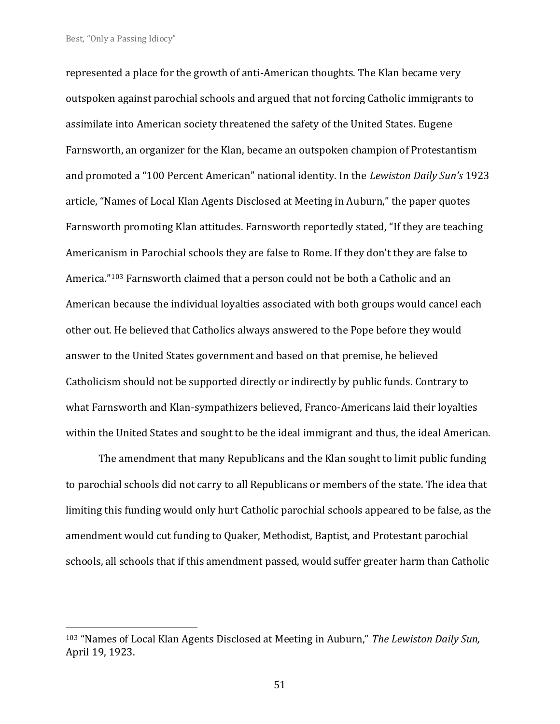represented a place for the growth of anti-American thoughts. The Klan became very outspoken against parochial schools and argued that not forcing Catholic immigrants to assimilate into American society threatened the safety of the United States. Eugene Farnsworth, an organizer for the Klan, became an outspoken champion of Protestantism and promoted a "100 Percent American" national identity. In the *Lewiston Daily Sun's* 1923 article, "Names of Local Klan Agents Disclosed at Meeting in Auburn," the paper quotes Farnsworth promoting Klan attitudes. Farnsworth reportedly stated, "If they are teaching Americanism in Parochial schools they are false to Rome. If they don't they are false to America."<sup>103</sup> Farnsworth claimed that a person could not be both a Catholic and an American because the individual loyalties associated with both groups would cancel each other out. He believed that Catholics always answered to the Pope before they would answer to the United States government and based on that premise, he believed Catholicism should not be supported directly or indirectly by public funds. Contrary to what Farnsworth and Klan-sympathizers believed, Franco-Americans laid their loyalties within the United States and sought to be the ideal immigrant and thus, the ideal American.

The amendment that many Republicans and the Klan sought to limit public funding to parochial schools did not carry to all Republicans or members of the state. The idea that limiting this funding would only hurt Catholic parochial schools appeared to be false, as the amendment would cut funding to Quaker, Methodist, Baptist, and Protestant parochial schools, all schools that if this amendment passed, would suffer greater harm than Catholic

<sup>103</sup> "Names of Local Klan Agents Disclosed at Meeting in Auburn," *The Lewiston Daily Sun,*  April 19, 1923.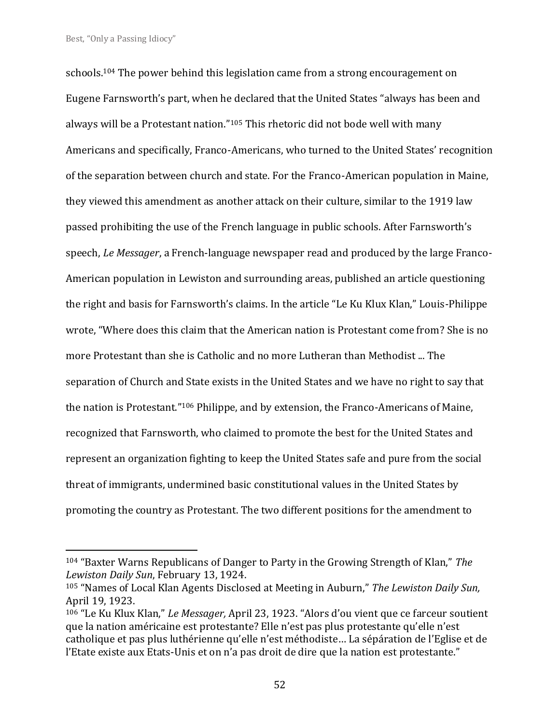schools.<sup>104</sup> The power behind this legislation came from a strong encouragement on Eugene Farnsworth's part, when he declared that the United States "always has been and always will be a Protestant nation."<sup>105</sup> This rhetoric did not bode well with many Americans and specifically, Franco-Americans, who turned to the United States' recognition of the separation between church and state. For the Franco-American population in Maine, they viewed this amendment as another attack on their culture, similar to the 1919 law passed prohibiting the use of the French language in public schools. After Farnsworth's speech, *Le Messager*, a French-language newspaper read and produced by the large Franco-American population in Lewiston and surrounding areas, published an article questioning the right and basis for Farnsworth's claims. In the article "Le Ku Klux Klan," Louis-Philippe wrote, "Where does this claim that the American nation is Protestant come from? She is no more Protestant than she is Catholic and no more Lutheran than Methodist ... The separation of Church and State exists in the United States and we have no right to say that the nation is Protestant." <sup>106</sup> Philippe, and by extension, the Franco-Americans of Maine, recognized that Farnsworth, who claimed to promote the best for the United States and represent an organization fighting to keep the United States safe and pure from the social threat of immigrants, undermined basic constitutional values in the United States by promoting the country as Protestant. The two different positions for the amendment to

<sup>104</sup> "Baxter Warns Republicans of Danger to Party in the Growing Strength of Klan," *The Lewiston Daily Sun*, February 13, 1924.

<sup>105</sup> "Names of Local Klan Agents Disclosed at Meeting in Auburn," *The Lewiston Daily Sun,*  April 19, 1923.

<sup>106</sup> "Le Ku Klux Klan," *Le Messager,* April 23, 1923. "Alors d'ou vient que ce farceur soutient que la nation américaine est protestante? Elle n'est pas plus protestante qu'elle n'est catholique et pas plus luthérienne qu'elle n'est méthodiste… La sépáration de l'Eglise et de l'Etate existe aux Etats-Unis et on n'a pas droit de dire que la nation est protestante."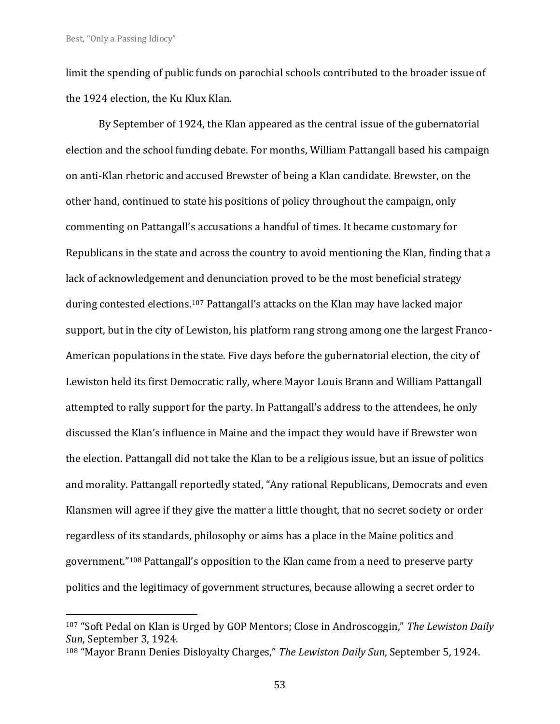limit the spending of public funds on parochial schools contributed to the broader issue of the 1924 election, the Ku Klux Klan.

By September of 1924, the Klan appeared as the central issue of the gubernatorial election and the school funding debate. For months, William Pattangall based his campaign on anti-Klan rhetoric and accused Brewster of being a Klan candidate. Brewster, on the other hand, continued to state his positions of policy throughout the campaign, only commenting on Pattangall's accusations a handful of times. It became customary for Republicans in the state and across the country to avoid mentioning the Klan, finding that a lack of acknowledgement and denunciation proved to be the most beneficial strategy during contested elections.<sup>107</sup> Pattangall's attacks on the Klan may have lacked major support, but in the city of Lewiston, his platform rang strong among one the largest Franco-American populations in the state. Five days before the gubernatorial election, the city of Lewiston held its first Democratic rally, where Mayor Louis Brann and William Pattangall attempted to rally support for the party. In Pattangall's address to the attendees, he only discussed the Klan's influence in Maine and the impact they would have if Brewster won the election. Pattangall did not take the Klan to be a religious issue, but an issue of politics and morality. Pattangall reportedly stated, "Any rational Republicans, Democrats and even Klansmen will agree if they give the matter a little thought, that no secret society or order regardless of its standards, philosophy or aims has a place in the Maine politics and government."<sup>108</sup> Pattangall's opposition to the Klan came from a need to preserve party politics and the legitimacy of government structures, because allowing a secret order to

<sup>107</sup> "Soft Pedal on Klan is Urged by GOP Mentors; Close in Androscoggin," *The Lewiston Daily Sun*, September 3, 1924.

<sup>108</sup> "Mayor Brann Denies Disloyalty Charges," *The Lewiston Daily Sun*, September 5, 1924.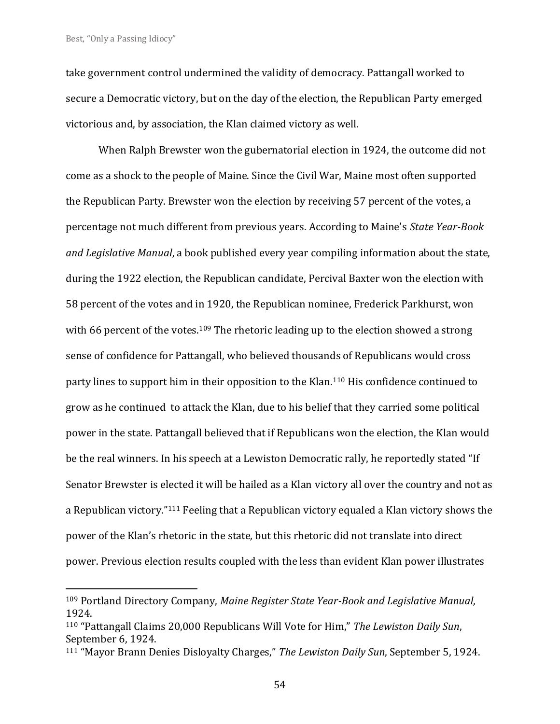take government control undermined the validity of democracy. Pattangall worked to secure a Democratic victory, but on the day of the election, the Republican Party emerged victorious and, by association, the Klan claimed victory as well.

When Ralph Brewster won the gubernatorial election in 1924, the outcome did not come as a shock to the people of Maine. Since the Civil War, Maine most often supported the Republican Party. Brewster won the election by receiving 57 percent of the votes, a percentage not much different from previous years. According to Maine's *State Year-Book and Legislative Manual*, a book published every year compiling information about the state, during the 1922 election, the Republican candidate, Percival Baxter won the election with 58 percent of the votes and in 1920, the Republican nominee, Frederick Parkhurst, won with 66 percent of the votes.<sup>109</sup> The rhetoric leading up to the election showed a strong sense of confidence for Pattangall, who believed thousands of Republicans would cross party lines to support him in their opposition to the Klan. <sup>110</sup> His confidence continued to grow as he continued to attack the Klan, due to his belief that they carried some political power in the state. Pattangall believed that if Republicans won the election, the Klan would be the real winners. In his speech at a Lewiston Democratic rally, he reportedly stated "If Senator Brewster is elected it will be hailed as a Klan victory all over the country and not as a Republican victory."<sup>111</sup> Feeling that a Republican victory equaled a Klan victory shows the power of the Klan's rhetoric in the state, but this rhetoric did not translate into direct power. Previous election results coupled with the less than evident Klan power illustrates

54

<sup>109</sup> Portland Directory Company, *Maine Register State Year-Book and Legislative Manual*, 1924.

<sup>110</sup> "Pattangall Claims 20,000 Republicans Will Vote for Him," *The Lewiston Daily Sun*, September 6, 1924.

<sup>111</sup> "Mayor Brann Denies Disloyalty Charges," *The Lewiston Daily Sun*, September 5, 1924.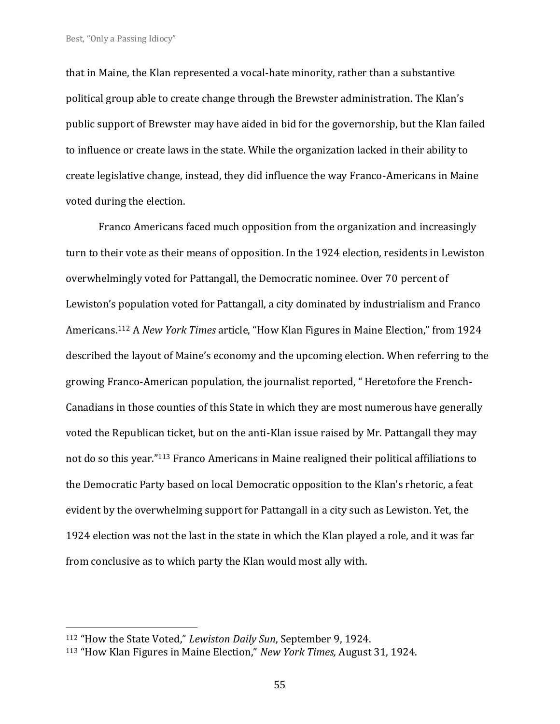that in Maine, the Klan represented a vocal-hate minority, rather than a substantive political group able to create change through the Brewster administration. The Klan's public support of Brewster may have aided in bid for the governorship, but the Klan failed to influence or create laws in the state. While the organization lacked in their ability to create legislative change, instead, they did influence the way Franco-Americans in Maine voted during the election.

Franco Americans faced much opposition from the organization and increasingly turn to their vote as their means of opposition. In the 1924 election, residents in Lewiston overwhelmingly voted for Pattangall, the Democratic nominee. Over 70 percent of Lewiston's population voted for Pattangall, a city dominated by industrialism and Franco Americans.<sup>112</sup> A *New York Times* article, "How Klan Figures in Maine Election," from 1924 described the layout of Maine's economy and the upcoming election. When referring to the growing Franco-American population, the journalist reported, " Heretofore the French-Canadians in those counties of this State in which they are most numerous have generally voted the Republican ticket, but on the anti-Klan issue raised by Mr. Pattangall they may not do so this year."<sup>113</sup> Franco Americans in Maine realigned their political affiliations to the Democratic Party based on local Democratic opposition to the Klan's rhetoric, a feat evident by the overwhelming support for Pattangall in a city such as Lewiston. Yet, the 1924 election was not the last in the state in which the Klan played a role, and it was far from conclusive as to which party the Klan would most ally with.

<sup>112</sup> "How the State Voted," *Lewiston Daily Sun*, September 9, 1924.

<sup>113</sup> "How Klan Figures in Maine Election," *New York Times,* August 31, 1924.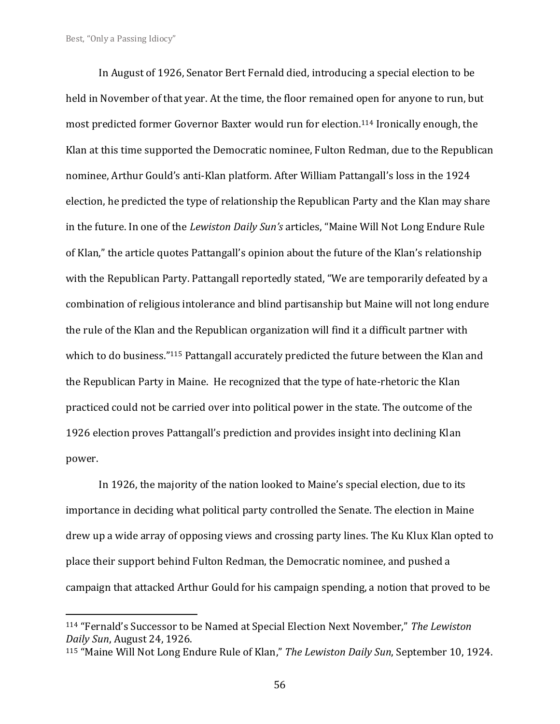In August of 1926, Senator Bert Fernald died, introducing a special election to be held in November of that year. At the time, the floor remained open for anyone to run, but most predicted former Governor Baxter would run for election.<sup>114</sup> Ironically enough, the Klan at this time supported the Democratic nominee, Fulton Redman, due to the Republican nominee, Arthur Gould's anti-Klan platform. After William Pattangall's loss in the 1924 election, he predicted the type of relationship the Republican Party and the Klan may share in the future. In one of the *Lewiston Daily Sun's* articles, "Maine Will Not Long Endure Rule of Klan," the article quotes Pattangall's opinion about the future of the Klan's relationship with the Republican Party. Pattangall reportedly stated, "We are temporarily defeated by a combination of religious intolerance and blind partisanship but Maine will not long endure the rule of the Klan and the Republican organization will find it a difficult partner with which to do business."115 Pattangall accurately predicted the future between the Klan and the Republican Party in Maine. He recognized that the type of hate-rhetoric the Klan practiced could not be carried over into political power in the state. The outcome of the 1926 election proves Pattangall's prediction and provides insight into declining Klan power.

In 1926, the majority of the nation looked to Maine's special election, due to its importance in deciding what political party controlled the Senate. The election in Maine drew up a wide array of opposing views and crossing party lines. The Ku Klux Klan opted to place their support behind Fulton Redman, the Democratic nominee, and pushed a campaign that attacked Arthur Gould for his campaign spending, a notion that proved to be

<sup>114</sup> "Fernald's Successor to be Named at Special Election Next November," *The Lewiston Daily Sun*, August 24, 1926.

<sup>115</sup> "Maine Will Not Long Endure Rule of Klan," *The Lewiston Daily Sun*, September 10, 1924.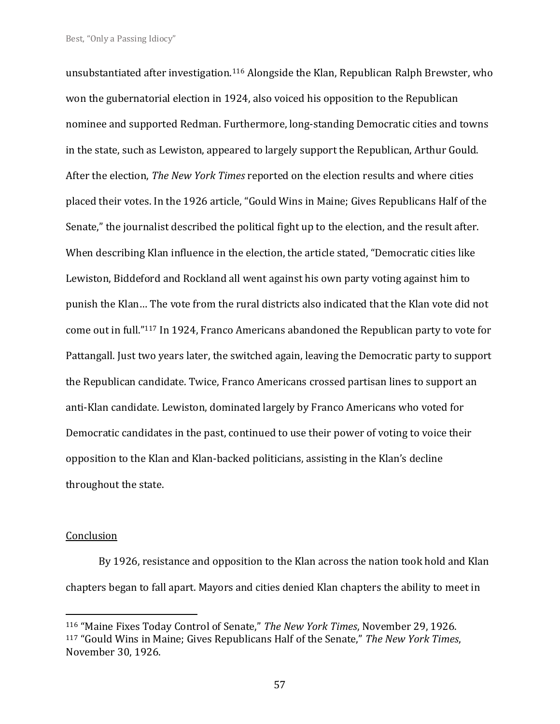unsubstantiated after investigation.<sup>116</sup> Alongside the Klan, Republican Ralph Brewster, who won the gubernatorial election in 1924, also voiced his opposition to the Republican nominee and supported Redman. Furthermore, long-standing Democratic cities and towns in the state, such as Lewiston, appeared to largely support the Republican, Arthur Gould. After the election, *The New York Times* reported on the election results and where cities placed their votes. In the 1926 article, "Gould Wins in Maine; Gives Republicans Half of the Senate," the journalist described the political fight up to the election, and the result after. When describing Klan influence in the election, the article stated, "Democratic cities like Lewiston, Biddeford and Rockland all went against his own party voting against him to punish the Klan… The vote from the rural districts also indicated that the Klan vote did not come out in full."<sup>117</sup> In 1924, Franco Americans abandoned the Republican party to vote for Pattangall. Just two years later, the switched again, leaving the Democratic party to support the Republican candidate. Twice, Franco Americans crossed partisan lines to support an anti-Klan candidate. Lewiston, dominated largely by Franco Americans who voted for Democratic candidates in the past, continued to use their power of voting to voice their opposition to the Klan and Klan-backed politicians, assisting in the Klan's decline throughout the state.

#### Conclusion

By 1926, resistance and opposition to the Klan across the nation took hold and Klan chapters began to fall apart. Mayors and cities denied Klan chapters the ability to meet in

<sup>116</sup> "Maine Fixes Today Control of Senate," *The New York Times*, November 29, 1926. <sup>117</sup> "Gould Wins in Maine; Gives Republicans Half of the Senate," *The New York Times*, November 30, 1926.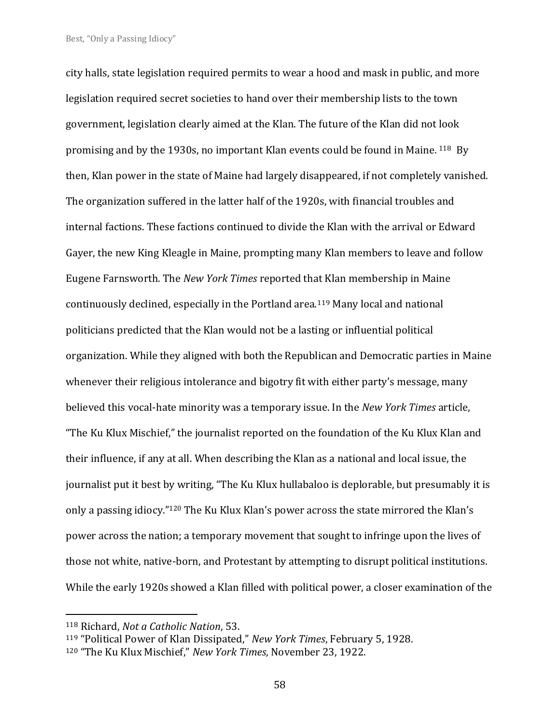city halls, state legislation required permits to wear a hood and mask in public, and more legislation required secret societies to hand over their membership lists to the town government, legislation clearly aimed at the Klan. The future of the Klan did not look promising and by the 1930s, no important Klan events could be found in Maine. <sup>118</sup> By then, Klan power in the state of Maine had largely disappeared, if not completely vanished. The organization suffered in the latter half of the 1920s, with financial troubles and internal factions. These factions continued to divide the Klan with the arrival or Edward Gayer, the new King Kleagle in Maine, prompting many Klan members to leave and follow Eugene Farnsworth. The *New York Times* reported that Klan membership in Maine continuously declined, especially in the Portland area.<sup>119</sup> Many local and national politicians predicted that the Klan would not be a lasting or influential political organization. While they aligned with both the Republican and Democratic parties in Maine whenever their religious intolerance and bigotry fit with either party's message, many believed this vocal-hate minority was a temporary issue. In the *New York Times* article, "The Ku Klux Mischief," the journalist reported on the foundation of the Ku Klux Klan and their influence, if any at all. When describing the Klan as a national and local issue, the journalist put it best by writing, "The Ku Klux hullabaloo is deplorable, but presumably it is only a passing idiocy."<sup>120</sup> The Ku Klux Klan's power across the state mirrored the Klan's power across the nation; a temporary movement that sought to infringe upon the lives of those not white, native-born, and Protestant by attempting to disrupt political institutions. While the early 1920s showed a Klan filled with political power, a closer examination of the

<sup>118</sup> Richard, *Not a Catholic Nation*, 53.

<sup>119</sup> "Political Power of Klan Dissipated," *New York Times*, February 5, 1928.

<sup>120</sup> "The Ku Klux Mischief," *New York Times*, November 23, 1922.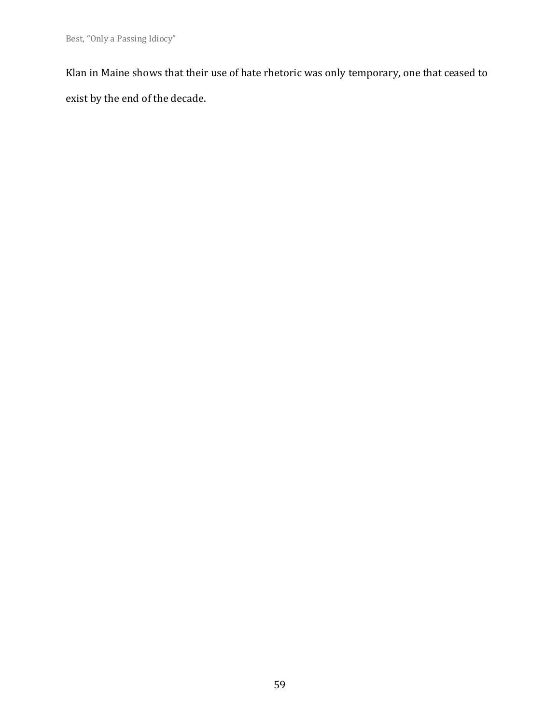Klan in Maine shows that their use of hate rhetoric was only temporary, one that ceased to exist by the end of the decade.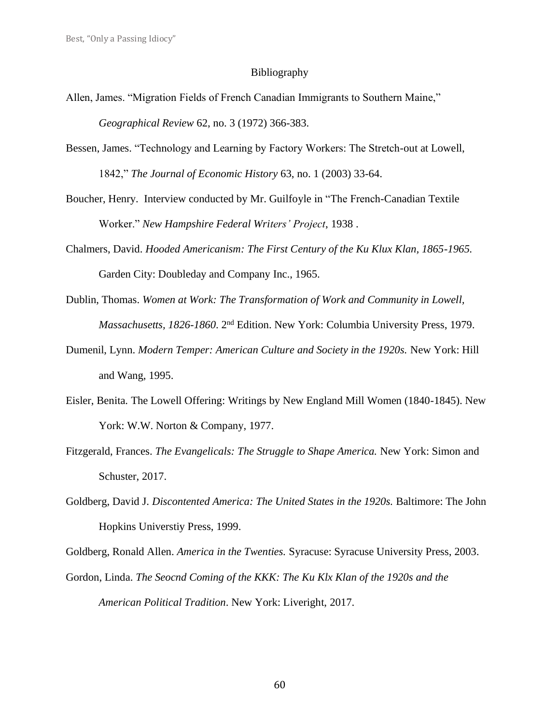#### Bibliography

- Allen, James. "Migration Fields of French Canadian Immigrants to Southern Maine," *Geographical Review* 62, no. 3 (1972) 366-383.
- Bessen, James. "Technology and Learning by Factory Workers: The Stretch-out at Lowell, 1842," *The Journal of Economic History* 63, no. 1 (2003) 33-64.
- Boucher, Henry. Interview conducted by Mr. Guilfoyle in "The French-Canadian Textile Worker." *New Hampshire Federal Writers' Project*, 1938 .
- Chalmers, David. *Hooded Americanism: The First Century of the Ku Klux Klan, 1865-1965.* Garden City: Doubleday and Company Inc., 1965.
- Dublin, Thomas. *Women at Work: The Transformation of Work and Community in Lowell,* Massachusetts, 1826-1860. 2<sup>nd</sup> Edition. New York: Columbia University Press, 1979.
- Dumenil, Lynn. *Modern Temper: American Culture and Society in the 1920s.* New York: Hill and Wang, 1995.
- Eisler, Benita. The Lowell Offering: Writings by New England Mill Women (1840-1845). New York: W.W. Norton & Company, 1977.
- Fitzgerald, Frances. *The Evangelicals: The Struggle to Shape America.* New York: Simon and Schuster, 2017.
- Goldberg, David J. *Discontented America: The United States in the 1920s.* Baltimore: The John Hopkins Universtiy Press, 1999.

Goldberg, Ronald Allen. *America in the Twenties.* Syracuse: Syracuse University Press, 2003.

Gordon, Linda. *The Seocnd Coming of the KKK: The Ku Klx Klan of the 1920s and the American Political Tradition*. New York: Liveright, 2017.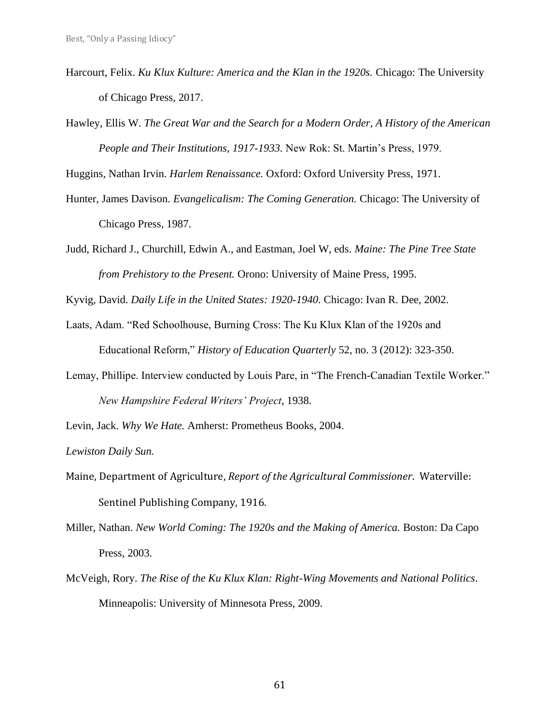- Harcourt, Felix. *Ku Klux Kulture: America and the Klan in the 1920s.* Chicago: The University of Chicago Press, 2017.
- Hawley, Ellis W. *The Great War and the Search for a Modern Order, A History of the American People and Their Institutions, 1917-1933.* New Rok: St. Martin's Press, 1979.

Huggins, Nathan Irvin. *Harlem Renaissance.* Oxford: Oxford University Press, 1971.

- Hunter, James Davison. *Evangelicalism: The Coming Generation.* Chicago: The University of Chicago Press, 1987.
- Judd, Richard J., Churchill, Edwin A., and Eastman, Joel W, eds. *Maine: The Pine Tree State from Prehistory to the Present.* Orono: University of Maine Press, 1995.

Kyvig, David. *Daily Life in the United States: 1920-1940.* Chicago: Ivan R. Dee, 2002.

- Laats, Adam. "Red Schoolhouse, Burning Cross: The Ku Klux Klan of the 1920s and Educational Reform," *History of Education Quarterly* 52, no. 3 (2012): 323-350.
- Lemay, Phillipe. Interview conducted by Louis Pare, in "The French-Canadian Textile Worker." *New Hampshire Federal Writers' Project*, 1938.

Levin, Jack. *Why We Hate.* Amherst: Prometheus Books, 2004.

*Lewiston Daily Sun.*

- Maine, Department of Agriculture, *Report of the Agricultural Commissioner*. Waterville: Sentinel Publishing Company, 1916.
- Miller, Nathan. *New World Coming: The 1920s and the Making of America.* Boston: Da Capo Press, 2003.
- McVeigh, Rory. *The Rise of the Ku Klux Klan: Right-Wing Movements and National Politics*. Minneapolis: University of Minnesota Press, 2009.